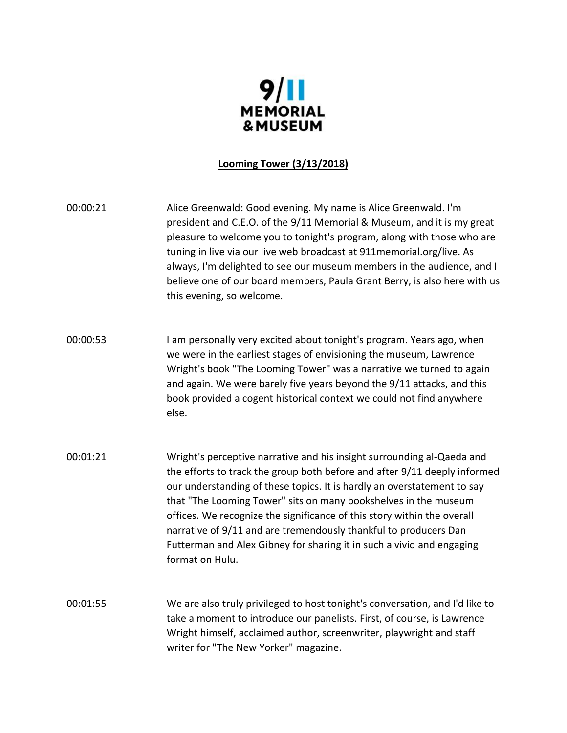

### **Looming Tower (3/13/2018)**

00:00:21 Alice Greenwald: Good evening. My name is Alice Greenwald. I'm president and C.E.O. of the 9/11 Memorial & Museum, and it is my great pleasure to welcome you to tonight's program, along with those who are tuning in live via our live web broadcast at 911memorial.org/live. As always, I'm delighted to see our museum members in the audience, and I believe one of our board members, Paula Grant Berry, is also here with us this evening, so welcome.

- 00:00:53 I am personally very excited about tonight's program. Years ago, when we were in the earliest stages of envisioning the museum, Lawrence Wright's book "The Looming Tower" was a narrative we turned to again and again. We were barely five years beyond the 9/11 attacks, and this book provided a cogent historical context we could not find anywhere else.
- 00:01:21 Wright's perceptive narrative and his insight surrounding al-Qaeda and the efforts to track the group both before and after 9/11 deeply informed our understanding of these topics. It is hardly an overstatement to say that "The Looming Tower" sits on many bookshelves in the museum offices. We recognize the significance of this story within the overall narrative of 9/11 and are tremendously thankful to producers Dan Futterman and Alex Gibney for sharing it in such a vivid and engaging format on Hulu.
- 00:01:55 We are also truly privileged to host tonight's conversation, and I'd like to take a moment to introduce our panelists. First, of course, is Lawrence Wright himself, acclaimed author, screenwriter, playwright and staff writer for "The New Yorker" magazine.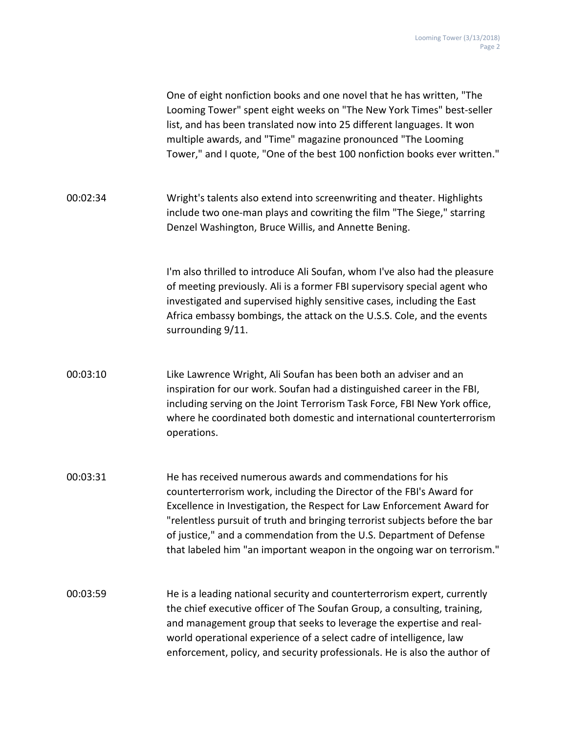|          | One of eight nonfiction books and one novel that he has written, "The<br>Looming Tower" spent eight weeks on "The New York Times" best-seller<br>list, and has been translated now into 25 different languages. It won<br>multiple awards, and "Time" magazine pronounced "The Looming<br>Tower," and I quote, "One of the best 100 nonfiction books ever written."                                                                          |
|----------|----------------------------------------------------------------------------------------------------------------------------------------------------------------------------------------------------------------------------------------------------------------------------------------------------------------------------------------------------------------------------------------------------------------------------------------------|
| 00:02:34 | Wright's talents also extend into screenwriting and theater. Highlights<br>include two one-man plays and cowriting the film "The Siege," starring<br>Denzel Washington, Bruce Willis, and Annette Bening.                                                                                                                                                                                                                                    |
|          | I'm also thrilled to introduce Ali Soufan, whom I've also had the pleasure<br>of meeting previously. Ali is a former FBI supervisory special agent who<br>investigated and supervised highly sensitive cases, including the East<br>Africa embassy bombings, the attack on the U.S.S. Cole, and the events<br>surrounding 9/11.                                                                                                              |
| 00:03:10 | Like Lawrence Wright, Ali Soufan has been both an adviser and an<br>inspiration for our work. Soufan had a distinguished career in the FBI,<br>including serving on the Joint Terrorism Task Force, FBI New York office,<br>where he coordinated both domestic and international counterterrorism<br>operations.                                                                                                                             |
| 00:03:31 | He has received numerous awards and commendations for his<br>counterterrorism work, including the Director of the FBI's Award for<br>Excellence in Investigation, the Respect for Law Enforcement Award for<br>"relentless pursuit of truth and bringing terrorist subjects before the bar<br>of justice," and a commendation from the U.S. Department of Defense<br>that labeled him "an important weapon in the ongoing war on terrorism." |
| 00:03:59 | He is a leading national security and counterterrorism expert, currently<br>the chief executive officer of The Soufan Group, a consulting, training,<br>and management group that seeks to leverage the expertise and real-<br>world operational experience of a select cadre of intelligence, law<br>enforcement, policy, and security professionals. He is also the author of                                                              |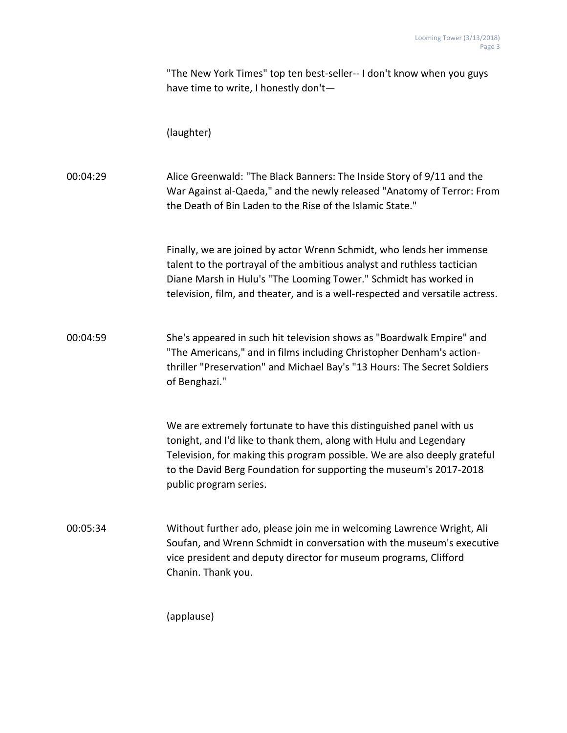"The New York Times" top ten best-seller-- I don't know when you guys have time to write, I honestly don't—

(laughter)

00:04:29 Alice Greenwald: "The Black Banners: The Inside Story of 9/11 and the War Against al-Qaeda," and the newly released "Anatomy of Terror: From the Death of Bin Laden to the Rise of the Islamic State."

> Finally, we are joined by actor Wrenn Schmidt, who lends her immense talent to the portrayal of the ambitious analyst and ruthless tactician Diane Marsh in Hulu's "The Looming Tower." Schmidt has worked in television, film, and theater, and is a well-respected and versatile actress.

00:04:59 She's appeared in such hit television shows as "Boardwalk Empire" and "The Americans," and in films including Christopher Denham's actionthriller "Preservation" and Michael Bay's "13 Hours: The Secret Soldiers of Benghazi."

> We are extremely fortunate to have this distinguished panel with us tonight, and I'd like to thank them, along with Hulu and Legendary Television, for making this program possible. We are also deeply grateful to the David Berg Foundation for supporting the museum's 2017-2018 public program series.

00:05:34 Without further ado, please join me in welcoming Lawrence Wright, Ali Soufan, and Wrenn Schmidt in conversation with the museum's executive vice president and deputy director for museum programs, Clifford Chanin. Thank you.

(applause)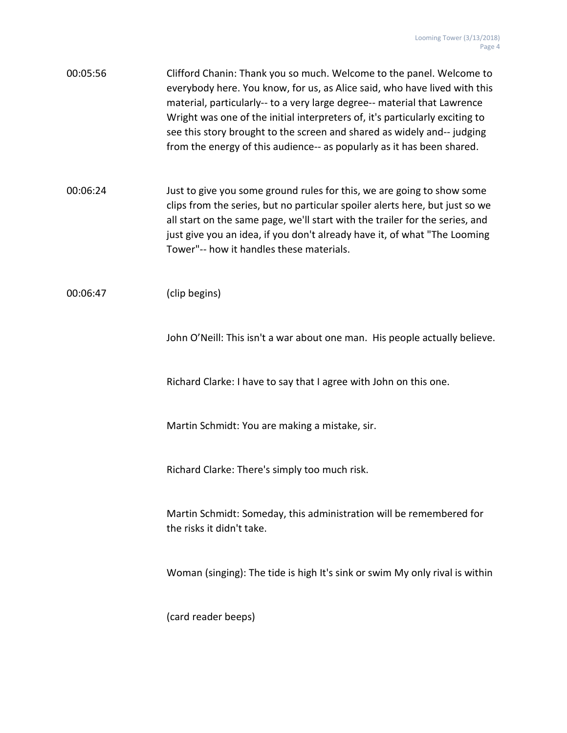| 00:05:56 | Clifford Chanin: Thank you so much. Welcome to the panel. Welcome to         |
|----------|------------------------------------------------------------------------------|
|          | everybody here. You know, for us, as Alice said, who have lived with this    |
|          | material, particularly-- to a very large degree-- material that Lawrence     |
|          | Wright was one of the initial interpreters of, it's particularly exciting to |
|          | see this story brought to the screen and shared as widely and--judging       |
|          | from the energy of this audience-- as popularly as it has been shared.       |

00:06:24 Just to give you some ground rules for this, we are going to show some clips from the series, but no particular spoiler alerts here, but just so we all start on the same page, we'll start with the trailer for the series, and just give you an idea, if you don't already have it, of what "The Looming Tower"-- how it handles these materials.

00:06:47 (clip begins)

John O'Neill: This isn't a war about one man. His people actually believe.

Richard Clarke: I have to say that I agree with John on this one.

Martin Schmidt: You are making a mistake, sir.

Richard Clarke: There's simply too much risk.

Martin Schmidt: Someday, this administration will be remembered for the risks it didn't take.

Woman (singing): The tide is high It's sink or swim My only rival is within

(card reader beeps)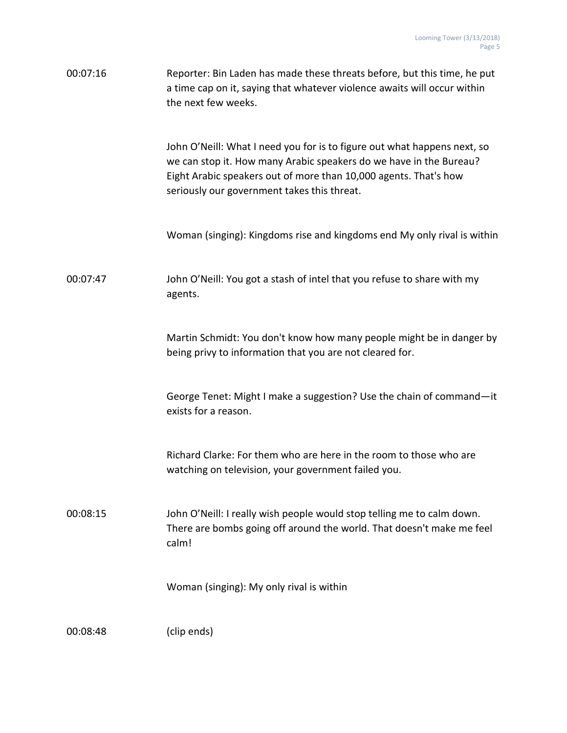| 00:07:16 | Reporter: Bin Laden has made these threats before, but this time, he put<br>a time cap on it, saying that whatever violence awaits will occur within<br>the next few weeks.                                                                                       |
|----------|-------------------------------------------------------------------------------------------------------------------------------------------------------------------------------------------------------------------------------------------------------------------|
|          | John O'Neill: What I need you for is to figure out what happens next, so<br>we can stop it. How many Arabic speakers do we have in the Bureau?<br>Eight Arabic speakers out of more than 10,000 agents. That's how<br>seriously our government takes this threat. |
|          | Woman (singing): Kingdoms rise and kingdoms end My only rival is within                                                                                                                                                                                           |
| 00:07:47 | John O'Neill: You got a stash of intel that you refuse to share with my<br>agents.                                                                                                                                                                                |
|          | Martin Schmidt: You don't know how many people might be in danger by<br>being privy to information that you are not cleared for.                                                                                                                                  |
|          | George Tenet: Might I make a suggestion? Use the chain of command-it<br>exists for a reason.                                                                                                                                                                      |
|          | Richard Clarke: For them who are here in the room to those who are<br>watching on television, your government failed you.                                                                                                                                         |
| 00:08:15 | John O'Neill: I really wish people would stop telling me to calm down.<br>There are bombs going off around the world. That doesn't make me feel<br>calm!                                                                                                          |
|          | Woman (singing): My only rival is within                                                                                                                                                                                                                          |
| 00:08:48 | (clip ends)                                                                                                                                                                                                                                                       |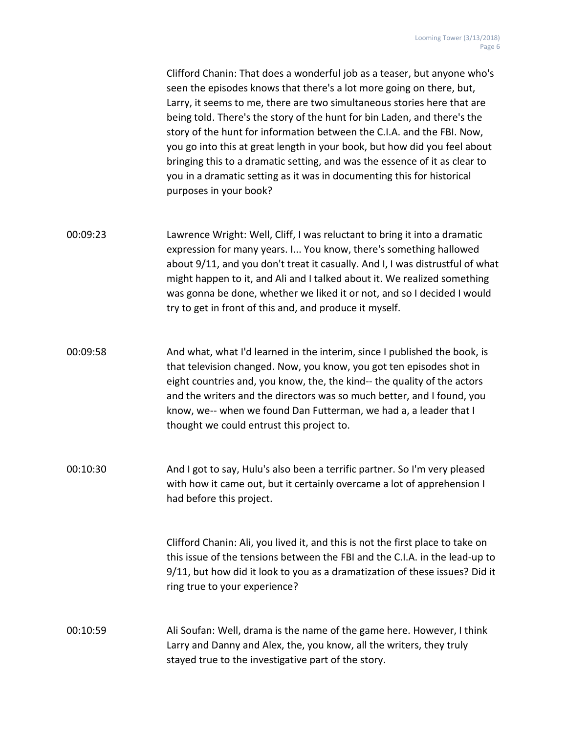Clifford Chanin: That does a wonderful job as a teaser, but anyone who's seen the episodes knows that there's a lot more going on there, but, Larry, it seems to me, there are two simultaneous stories here that are being told. There's the story of the hunt for bin Laden, and there's the story of the hunt for information between the C.I.A. and the FBI. Now, you go into this at great length in your book, but how did you feel about bringing this to a dramatic setting, and was the essence of it as clear to you in a dramatic setting as it was in documenting this for historical purposes in your book?

- 00:09:23 Lawrence Wright: Well, Cliff, I was reluctant to bring it into a dramatic expression for many years. I... You know, there's something hallowed about 9/11, and you don't treat it casually. And I, I was distrustful of what might happen to it, and Ali and I talked about it. We realized something was gonna be done, whether we liked it or not, and so I decided I would try to get in front of this and, and produce it myself.
- 00:09:58 And what, what I'd learned in the interim, since I published the book, is that television changed. Now, you know, you got ten episodes shot in eight countries and, you know, the, the kind-- the quality of the actors and the writers and the directors was so much better, and I found, you know, we-- when we found Dan Futterman, we had a, a leader that I thought we could entrust this project to.
- 00:10:30 And I got to say, Hulu's also been a terrific partner. So I'm very pleased with how it came out, but it certainly overcame a lot of apprehension I had before this project.

Clifford Chanin: Ali, you lived it, and this is not the first place to take on this issue of the tensions between the FBI and the C.I.A. in the lead-up to 9/11, but how did it look to you as a dramatization of these issues? Did it ring true to your experience?

00:10:59 Ali Soufan: Well, drama is the name of the game here. However, I think Larry and Danny and Alex, the, you know, all the writers, they truly stayed true to the investigative part of the story.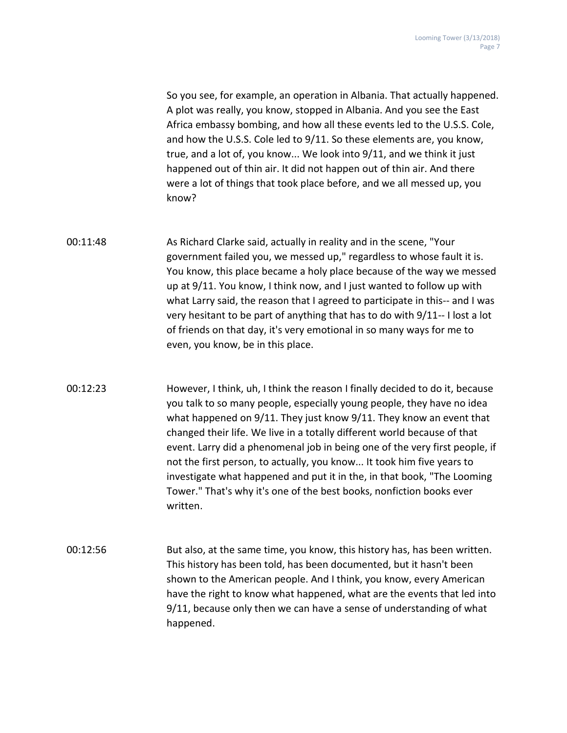So you see, for example, an operation in Albania. That actually happened. A plot was really, you know, stopped in Albania. And you see the East Africa embassy bombing, and how all these events led to the U.S.S. Cole, and how the U.S.S. Cole led to 9/11. So these elements are, you know, true, and a lot of, you know... We look into 9/11, and we think it just happened out of thin air. It did not happen out of thin air. And there were a lot of things that took place before, and we all messed up, you know?

- 00:11:48 As Richard Clarke said, actually in reality and in the scene, "Your government failed you, we messed up," regardless to whose fault it is. You know, this place became a holy place because of the way we messed up at 9/11. You know, I think now, and I just wanted to follow up with what Larry said, the reason that I agreed to participate in this-- and I was very hesitant to be part of anything that has to do with 9/11-- I lost a lot of friends on that day, it's very emotional in so many ways for me to even, you know, be in this place.
- 00:12:23 However, I think, uh, I think the reason I finally decided to do it, because you talk to so many people, especially young people, they have no idea what happened on 9/11. They just know 9/11. They know an event that changed their life. We live in a totally different world because of that event. Larry did a phenomenal job in being one of the very first people, if not the first person, to actually, you know... It took him five years to investigate what happened and put it in the, in that book, "The Looming Tower." That's why it's one of the best books, nonfiction books ever written.
- 00:12:56 But also, at the same time, you know, this history has, has been written. This history has been told, has been documented, but it hasn't been shown to the American people. And I think, you know, every American have the right to know what happened, what are the events that led into 9/11, because only then we can have a sense of understanding of what happened.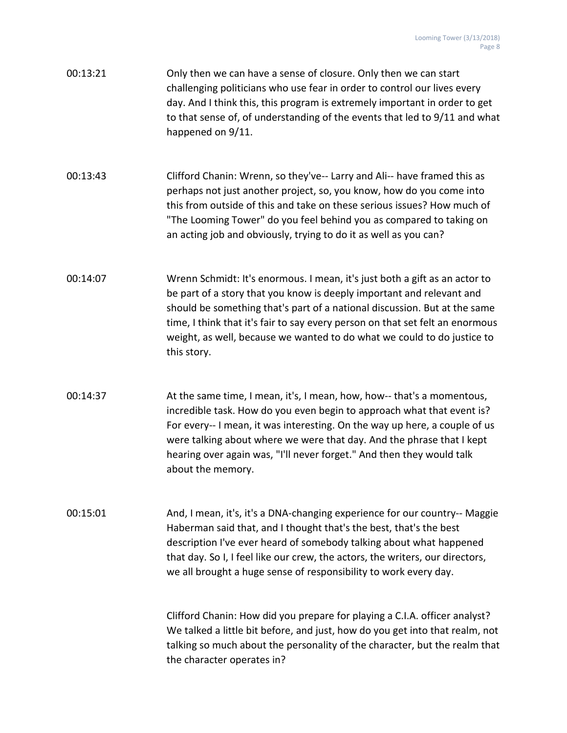| 00:13:21 | Only then we can have a sense of closure. Only then we can start           |
|----------|----------------------------------------------------------------------------|
|          | challenging politicians who use fear in order to control our lives every   |
|          | day. And I think this, this program is extremely important in order to get |
|          | to that sense of, of understanding of the events that led to 9/11 and what |
|          | happened on 9/11.                                                          |

00:13:43 Clifford Chanin: Wrenn, so they've-- Larry and Ali-- have framed this as perhaps not just another project, so, you know, how do you come into this from outside of this and take on these serious issues? How much of "The Looming Tower" do you feel behind you as compared to taking on an acting job and obviously, trying to do it as well as you can?

- 00:14:07 Wrenn Schmidt: It's enormous. I mean, it's just both a gift as an actor to be part of a story that you know is deeply important and relevant and should be something that's part of a national discussion. But at the same time, I think that it's fair to say every person on that set felt an enormous weight, as well, because we wanted to do what we could to do justice to this story.
- 00:14:37 At the same time, I mean, it's, I mean, how, how-- that's a momentous, incredible task. How do you even begin to approach what that event is? For every-- I mean, it was interesting. On the way up here, a couple of us were talking about where we were that day. And the phrase that I kept hearing over again was, "I'll never forget." And then they would talk about the memory.

00:15:01 And, I mean, it's, it's a DNA-changing experience for our country-- Maggie Haberman said that, and I thought that's the best, that's the best description I've ever heard of somebody talking about what happened that day. So I, I feel like our crew, the actors, the writers, our directors, we all brought a huge sense of responsibility to work every day.

> Clifford Chanin: How did you prepare for playing a C.I.A. officer analyst? We talked a little bit before, and just, how do you get into that realm, not talking so much about the personality of the character, but the realm that the character operates in?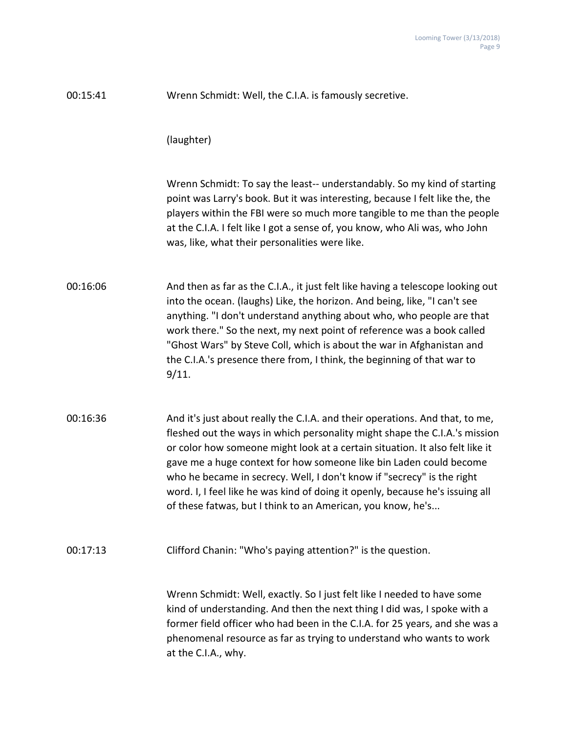| 00:15:41 | Wrenn Schmidt: Well, the C.I.A. is famously secretive.                                                                                                                                                                                                                                                                                                                                                                                                                                                                                     |
|----------|--------------------------------------------------------------------------------------------------------------------------------------------------------------------------------------------------------------------------------------------------------------------------------------------------------------------------------------------------------------------------------------------------------------------------------------------------------------------------------------------------------------------------------------------|
|          | (laughter)                                                                                                                                                                                                                                                                                                                                                                                                                                                                                                                                 |
|          | Wrenn Schmidt: To say the least-- understandably. So my kind of starting<br>point was Larry's book. But it was interesting, because I felt like the, the<br>players within the FBI were so much more tangible to me than the people<br>at the C.I.A. I felt like I got a sense of, you know, who Ali was, who John<br>was, like, what their personalities were like.                                                                                                                                                                       |
| 00:16:06 | And then as far as the C.I.A., it just felt like having a telescope looking out<br>into the ocean. (laughs) Like, the horizon. And being, like, "I can't see<br>anything. "I don't understand anything about who, who people are that<br>work there." So the next, my next point of reference was a book called<br>"Ghost Wars" by Steve Coll, which is about the war in Afghanistan and<br>the C.I.A.'s presence there from, I think, the beginning of that war to<br>9/11.                                                               |
| 00:16:36 | And it's just about really the C.I.A. and their operations. And that, to me,<br>fleshed out the ways in which personality might shape the C.I.A.'s mission<br>or color how someone might look at a certain situation. It also felt like it<br>gave me a huge context for how someone like bin Laden could become<br>who he became in secrecy. Well, I don't know if "secrecy" is the right<br>word. I, I feel like he was kind of doing it openly, because he's issuing all<br>of these fatwas, but I think to an American, you know, he's |
| 00:17:13 | Clifford Chanin: "Who's paying attention?" is the question.                                                                                                                                                                                                                                                                                                                                                                                                                                                                                |
|          | Wrenn Schmidt: Well, exactly. So I just felt like I needed to have some<br>kind of understanding. And then the next thing I did was, I spoke with a<br>former field officer who had been in the C.I.A. for 25 years, and she was a<br>phenomenal resource as far as trying to understand who wants to work<br>at the C.I.A., why.                                                                                                                                                                                                          |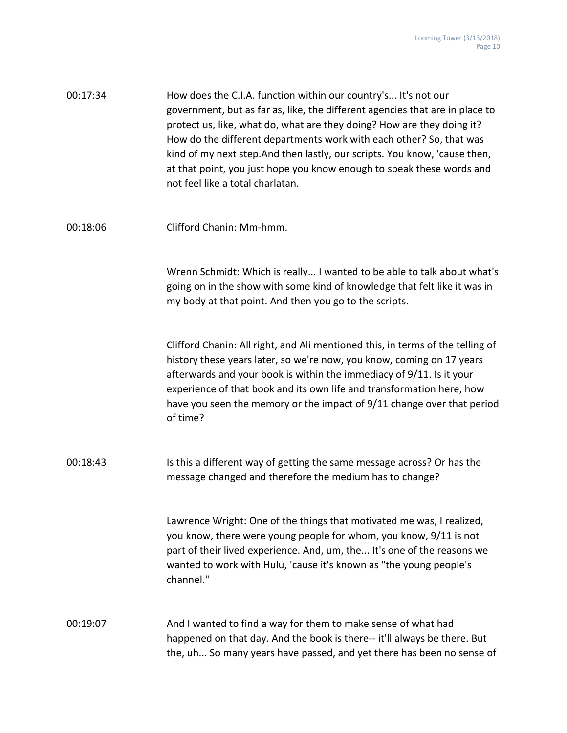| 00:17:34 | How does the C.I.A. function within our country's It's not our<br>government, but as far as, like, the different agencies that are in place to<br>protect us, like, what do, what are they doing? How are they doing it?<br>How do the different departments work with each other? So, that was<br>kind of my next step. And then lastly, our scripts. You know, 'cause then,<br>at that point, you just hope you know enough to speak these words and<br>not feel like a total charlatan. |
|----------|--------------------------------------------------------------------------------------------------------------------------------------------------------------------------------------------------------------------------------------------------------------------------------------------------------------------------------------------------------------------------------------------------------------------------------------------------------------------------------------------|
| 00:18:06 | Clifford Chanin: Mm-hmm.                                                                                                                                                                                                                                                                                                                                                                                                                                                                   |
|          | Wrenn Schmidt: Which is really I wanted to be able to talk about what's<br>going on in the show with some kind of knowledge that felt like it was in<br>my body at that point. And then you go to the scripts.                                                                                                                                                                                                                                                                             |
|          | Clifford Chanin: All right, and Ali mentioned this, in terms of the telling of<br>history these years later, so we're now, you know, coming on 17 years<br>afterwards and your book is within the immediacy of 9/11. Is it your<br>experience of that book and its own life and transformation here, how<br>have you seen the memory or the impact of 9/11 change over that period<br>of time?                                                                                             |
| 00:18:43 | Is this a different way of getting the same message across? Or has the<br>message changed and therefore the medium has to change?                                                                                                                                                                                                                                                                                                                                                          |
|          | Lawrence Wright: One of the things that motivated me was, I realized,<br>you know, there were young people for whom, you know, 9/11 is not<br>part of their lived experience. And, um, the It's one of the reasons we<br>wanted to work with Hulu, 'cause it's known as "the young people's<br>channel."                                                                                                                                                                                   |
| 00:19:07 | And I wanted to find a way for them to make sense of what had<br>happened on that day. And the book is there-- it'll always be there. But<br>the, uh So many years have passed, and yet there has been no sense of                                                                                                                                                                                                                                                                         |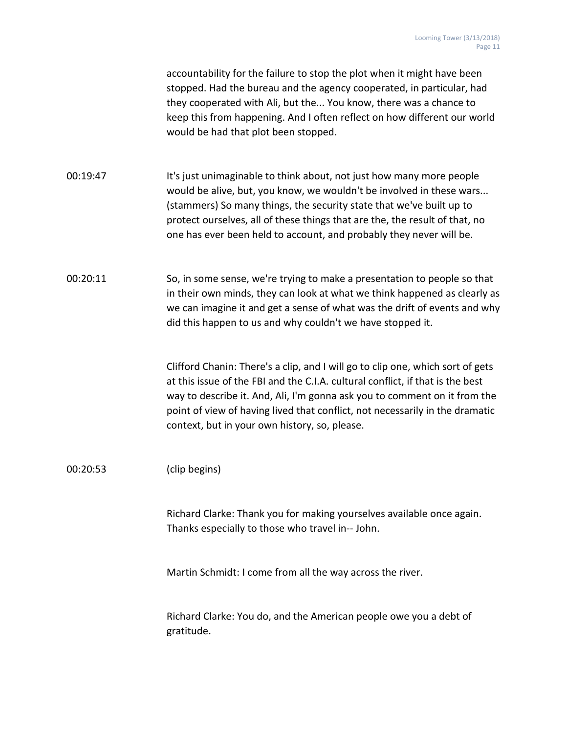accountability for the failure to stop the plot when it might have been stopped. Had the bureau and the agency cooperated, in particular, had they cooperated with Ali, but the... You know, there was a chance to keep this from happening. And I often reflect on how different our world would be had that plot been stopped.

00:19:47 It's just unimaginable to think about, not just how many more people would be alive, but, you know, we wouldn't be involved in these wars... (stammers) So many things, the security state that we've built up to protect ourselves, all of these things that are the, the result of that, no one has ever been held to account, and probably they never will be.

# 00:20:11 So, in some sense, we're trying to make a presentation to people so that in their own minds, they can look at what we think happened as clearly as we can imagine it and get a sense of what was the drift of events and why did this happen to us and why couldn't we have stopped it.

Clifford Chanin: There's a clip, and I will go to clip one, which sort of gets at this issue of the FBI and the C.I.A. cultural conflict, if that is the best way to describe it. And, Ali, I'm gonna ask you to comment on it from the point of view of having lived that conflict, not necessarily in the dramatic context, but in your own history, so, please.

#### 00:20:53 (clip begins)

Richard Clarke: Thank you for making yourselves available once again. Thanks especially to those who travel in-- John.

Martin Schmidt: I come from all the way across the river.

Richard Clarke: You do, and the American people owe you a debt of gratitude.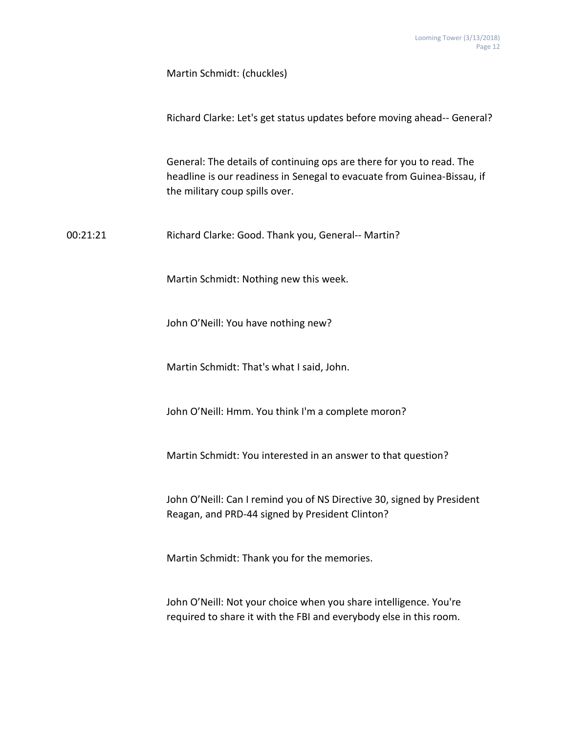Martin Schmidt: (chuckles)

| Richard Clarke: Let's get status updates before moving ahead-- General? |
|-------------------------------------------------------------------------|
|                                                                         |
|                                                                         |

General: The details of continuing ops are there for you to read. The headline is our readiness in Senegal to evacuate from Guinea-Bissau, if the military coup spills over.

00:21:21 Richard Clarke: Good. Thank you, General-- Martin?

Martin Schmidt: Nothing new this week.

John O'Neill: You have nothing new?

Martin Schmidt: That's what I said, John.

John O'Neill: Hmm. You think I'm a complete moron?

Martin Schmidt: You interested in an answer to that question?

John O'Neill: Can I remind you of NS Directive 30, signed by President Reagan, and PRD-44 signed by President Clinton?

Martin Schmidt: Thank you for the memories.

John O'Neill: Not your choice when you share intelligence. You're required to share it with the FBI and everybody else in this room.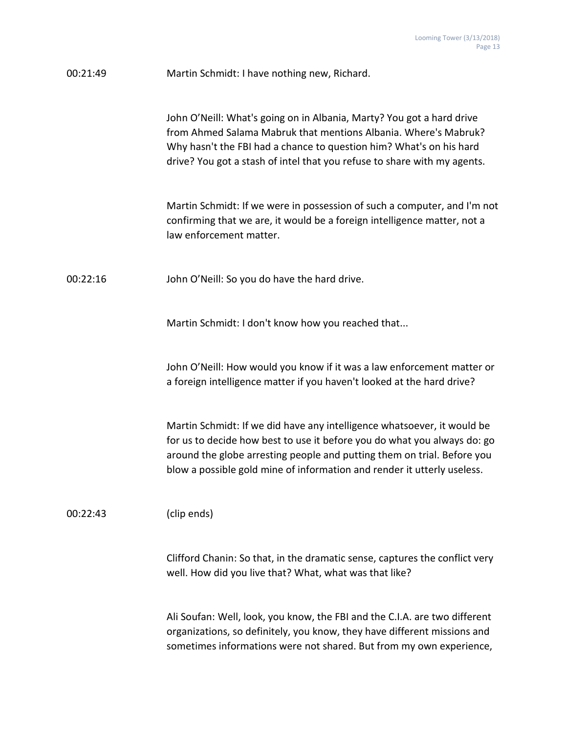| 00:21:49 | Martin Schmidt: I have nothing new, Richard.                                                                                                                                                                                                                                                              |
|----------|-----------------------------------------------------------------------------------------------------------------------------------------------------------------------------------------------------------------------------------------------------------------------------------------------------------|
|          | John O'Neill: What's going on in Albania, Marty? You got a hard drive<br>from Ahmed Salama Mabruk that mentions Albania. Where's Mabruk?<br>Why hasn't the FBI had a chance to question him? What's on his hard<br>drive? You got a stash of intel that you refuse to share with my agents.               |
|          | Martin Schmidt: If we were in possession of such a computer, and I'm not<br>confirming that we are, it would be a foreign intelligence matter, not a<br>law enforcement matter.                                                                                                                           |
| 00:22:16 | John O'Neill: So you do have the hard drive.                                                                                                                                                                                                                                                              |
|          | Martin Schmidt: I don't know how you reached that                                                                                                                                                                                                                                                         |
|          | John O'Neill: How would you know if it was a law enforcement matter or<br>a foreign intelligence matter if you haven't looked at the hard drive?                                                                                                                                                          |
|          | Martin Schmidt: If we did have any intelligence whatsoever, it would be<br>for us to decide how best to use it before you do what you always do: go<br>around the globe arresting people and putting them on trial. Before you<br>blow a possible gold mine of information and render it utterly useless. |
| 00:22:43 | (clip ends)                                                                                                                                                                                                                                                                                               |
|          | Clifford Chanin: So that, in the dramatic sense, captures the conflict very<br>well. How did you live that? What, what was that like?                                                                                                                                                                     |
|          | Ali Soufan: Well, look, you know, the FBI and the C.I.A. are two different<br>organizations, so definitely, you know, they have different missions and<br>sometimes informations were not shared. But from my own experience,                                                                             |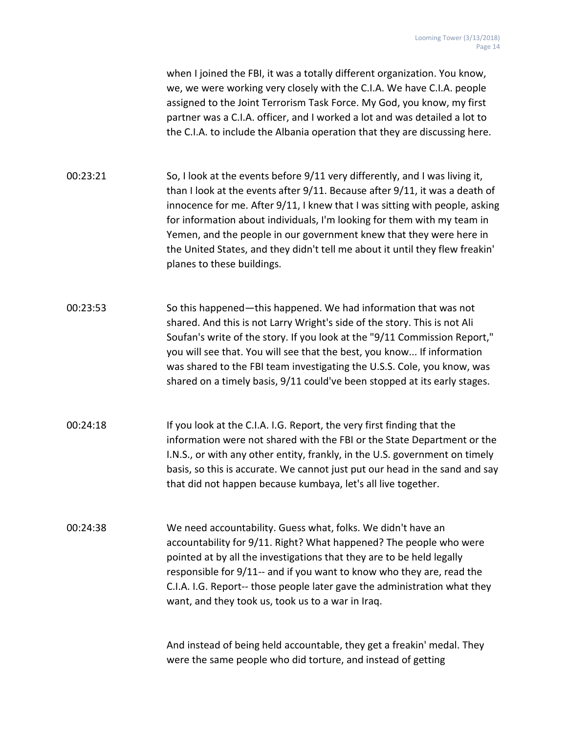when I joined the FBI, it was a totally different organization. You know, we, we were working very closely with the C.I.A. We have C.I.A. people assigned to the Joint Terrorism Task Force. My God, you know, my first partner was a C.I.A. officer, and I worked a lot and was detailed a lot to the C.I.A. to include the Albania operation that they are discussing here.

00:23:21 So, I look at the events before 9/11 very differently, and I was living it, than I look at the events after 9/11. Because after 9/11, it was a death of innocence for me. After 9/11, I knew that I was sitting with people, asking for information about individuals, I'm looking for them with my team in Yemen, and the people in our government knew that they were here in the United States, and they didn't tell me about it until they flew freakin' planes to these buildings.

- 00:23:53 So this happened—this happened. We had information that was not shared. And this is not Larry Wright's side of the story. This is not Ali Soufan's write of the story. If you look at the "9/11 Commission Report," you will see that. You will see that the best, you know... If information was shared to the FBI team investigating the U.S.S. Cole, you know, was shared on a timely basis, 9/11 could've been stopped at its early stages.
- 00:24:18 If you look at the C.I.A. I.G. Report, the very first finding that the information were not shared with the FBI or the State Department or the I.N.S., or with any other entity, frankly, in the U.S. government on timely basis, so this is accurate. We cannot just put our head in the sand and say that did not happen because kumbaya, let's all live together.
- 00:24:38 We need accountability. Guess what, folks. We didn't have an accountability for 9/11. Right? What happened? The people who were pointed at by all the investigations that they are to be held legally responsible for 9/11-- and if you want to know who they are, read the C.I.A. I.G. Report-- those people later gave the administration what they want, and they took us, took us to a war in Iraq.

And instead of being held accountable, they get a freakin' medal. They were the same people who did torture, and instead of getting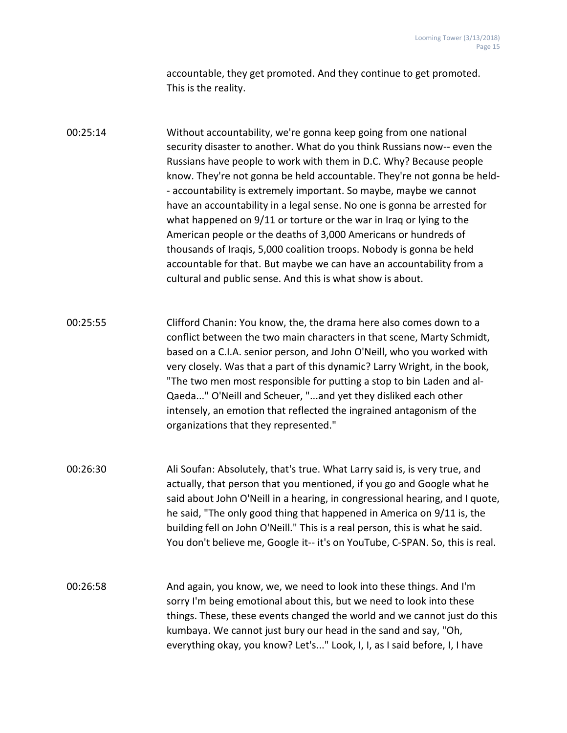accountable, they get promoted. And they continue to get promoted. This is the reality.

00:25:14 Without accountability, we're gonna keep going from one national security disaster to another. What do you think Russians now-- even the Russians have people to work with them in D.C. Why? Because people know. They're not gonna be held accountable. They're not gonna be held- - accountability is extremely important. So maybe, maybe we cannot have an accountability in a legal sense. No one is gonna be arrested for what happened on 9/11 or torture or the war in Iraq or lying to the American people or the deaths of 3,000 Americans or hundreds of thousands of Iraqis, 5,000 coalition troops. Nobody is gonna be held accountable for that. But maybe we can have an accountability from a cultural and public sense. And this is what show is about.

00:25:55 Clifford Chanin: You know, the, the drama here also comes down to a conflict between the two main characters in that scene, Marty Schmidt, based on a C.I.A. senior person, and John O'Neill, who you worked with very closely. Was that a part of this dynamic? Larry Wright, in the book, "The two men most responsible for putting a stop to bin Laden and al-Qaeda..." O'Neill and Scheuer, "...and yet they disliked each other intensely, an emotion that reflected the ingrained antagonism of the organizations that they represented."

00:26:30 Ali Soufan: Absolutely, that's true. What Larry said is, is very true, and actually, that person that you mentioned, if you go and Google what he said about John O'Neill in a hearing, in congressional hearing, and I quote, he said, "The only good thing that happened in America on 9/11 is, the building fell on John O'Neill." This is a real person, this is what he said. You don't believe me, Google it-- it's on YouTube, C-SPAN. So, this is real.

00:26:58 And again, you know, we, we need to look into these things. And I'm sorry I'm being emotional about this, but we need to look into these things. These, these events changed the world and we cannot just do this kumbaya. We cannot just bury our head in the sand and say, "Oh, everything okay, you know? Let's..." Look, I, I, as I said before, I, I have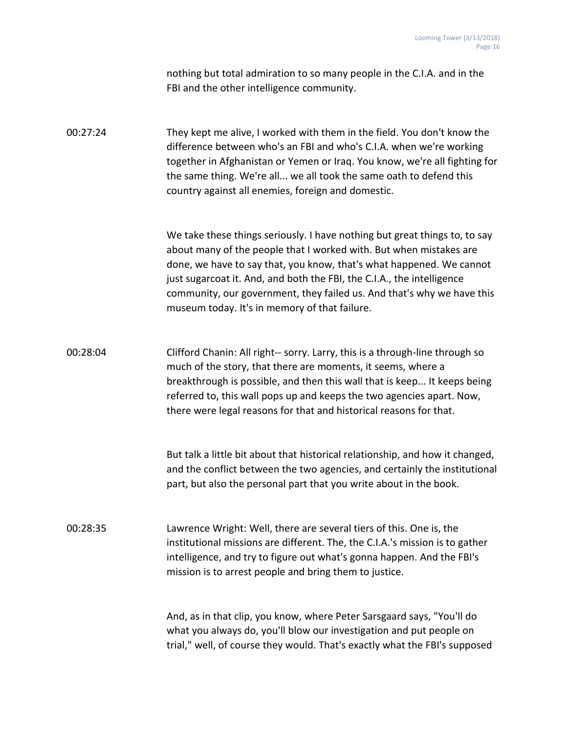|          | nothing but total admiration to so many people in the C.I.A. and in the<br>FBI and the other intelligence community.                                                                                                                                                                                                                                                                                                          |
|----------|-------------------------------------------------------------------------------------------------------------------------------------------------------------------------------------------------------------------------------------------------------------------------------------------------------------------------------------------------------------------------------------------------------------------------------|
| 00:27:24 | They kept me alive, I worked with them in the field. You don't know the<br>difference between who's an FBI and who's C.I.A. when we're working<br>together in Afghanistan or Yemen or Iraq. You know, we're all fighting for<br>the same thing. We're all we all took the same oath to defend this<br>country against all enemies, foreign and domestic.                                                                      |
|          | We take these things seriously. I have nothing but great things to, to say<br>about many of the people that I worked with. But when mistakes are<br>done, we have to say that, you know, that's what happened. We cannot<br>just sugarcoat it. And, and both the FBI, the C.I.A., the intelligence<br>community, our government, they failed us. And that's why we have this<br>museum today. It's in memory of that failure. |
| 00:28:04 | Clifford Chanin: All right-- sorry. Larry, this is a through-line through so<br>much of the story, that there are moments, it seems, where a<br>breakthrough is possible, and then this wall that is keep It keeps being<br>referred to, this wall pops up and keeps the two agencies apart. Now,<br>there were legal reasons for that and historical reasons for that.                                                       |
|          | But talk a little bit about that historical relationship, and how it changed,<br>and the conflict between the two agencies, and certainly the institutional<br>part, but also the personal part that you write about in the book.                                                                                                                                                                                             |
| 00:28:35 | Lawrence Wright: Well, there are several tiers of this. One is, the<br>institutional missions are different. The, the C.I.A.'s mission is to gather<br>intelligence, and try to figure out what's gonna happen. And the FBI's<br>mission is to arrest people and bring them to justice.                                                                                                                                       |
|          | And, as in that clip, you know, where Peter Sarsgaard says, "You'll do<br>what you always do, you'll blow our investigation and put people on<br>trial," well, of course they would. That's exactly what the FBI's supposed                                                                                                                                                                                                   |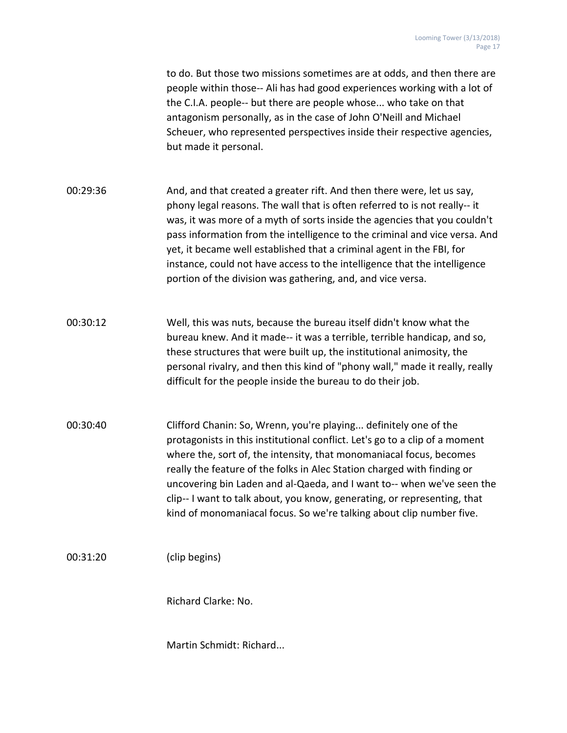to do. But those two missions sometimes are at odds, and then there are people within those-- Ali has had good experiences working with a lot of the C.I.A. people-- but there are people whose... who take on that antagonism personally, as in the case of John O'Neill and Michael Scheuer, who represented perspectives inside their respective agencies, but made it personal.

- 00:29:36 And, and that created a greater rift. And then there were, let us say, phony legal reasons. The wall that is often referred to is not really-- it was, it was more of a myth of sorts inside the agencies that you couldn't pass information from the intelligence to the criminal and vice versa. And yet, it became well established that a criminal agent in the FBI, for instance, could not have access to the intelligence that the intelligence portion of the division was gathering, and, and vice versa.
- 00:30:12 Well, this was nuts, because the bureau itself didn't know what the bureau knew. And it made-- it was a terrible, terrible handicap, and so, these structures that were built up, the institutional animosity, the personal rivalry, and then this kind of "phony wall," made it really, really difficult for the people inside the bureau to do their job.
- 00:30:40 Clifford Chanin: So, Wrenn, you're playing... definitely one of the protagonists in this institutional conflict. Let's go to a clip of a moment where the, sort of, the intensity, that monomaniacal focus, becomes really the feature of the folks in Alec Station charged with finding or uncovering bin Laden and al-Qaeda, and I want to-- when we've seen the clip-- I want to talk about, you know, generating, or representing, that kind of monomaniacal focus. So we're talking about clip number five.

00:31:20 (clip begins)

Richard Clarke: No.

Martin Schmidt: Richard...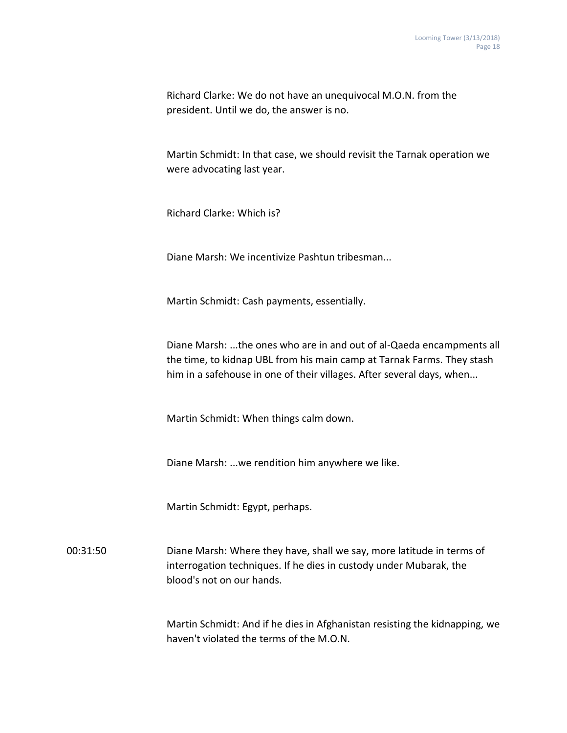Richard Clarke: We do not have an unequivocal M.O.N. from the president. Until we do, the answer is no.

Martin Schmidt: In that case, we should revisit the Tarnak operation we were advocating last year.

Richard Clarke: Which is?

Diane Marsh: We incentivize Pashtun tribesman...

Martin Schmidt: Cash payments, essentially.

Diane Marsh: ...the ones who are in and out of al-Qaeda encampments all the time, to kidnap UBL from his main camp at Tarnak Farms. They stash him in a safehouse in one of their villages. After several days, when...

Martin Schmidt: When things calm down.

Diane Marsh: ...we rendition him anywhere we like.

Martin Schmidt: Egypt, perhaps.

00:31:50 Diane Marsh: Where they have, shall we say, more latitude in terms of interrogation techniques. If he dies in custody under Mubarak, the blood's not on our hands.

> Martin Schmidt: And if he dies in Afghanistan resisting the kidnapping, we haven't violated the terms of the M.O.N.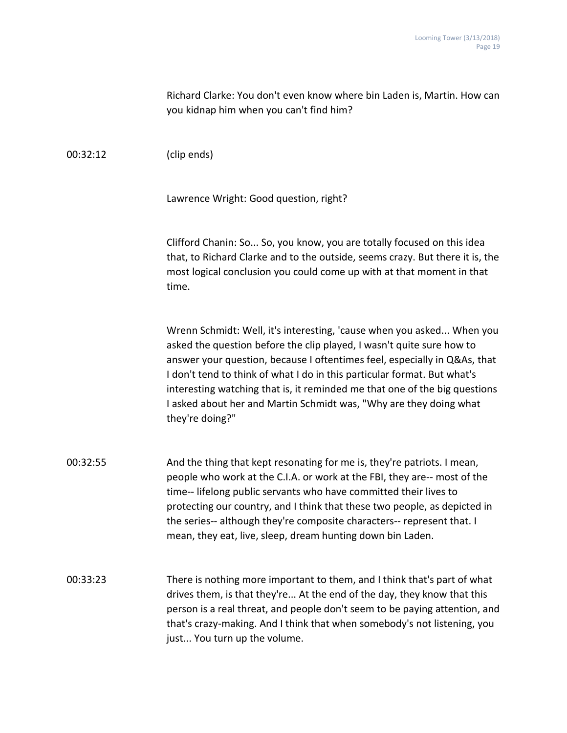| Richard Clarke: You don't even know where bin Laden is, Martin. How can |
|-------------------------------------------------------------------------|
| you kidnap him when you can't find him?                                 |

00:32:12 (clip ends)

Lawrence Wright: Good question, right?

Clifford Chanin: So... So, you know, you are totally focused on this idea that, to Richard Clarke and to the outside, seems crazy. But there it is, the most logical conclusion you could come up with at that moment in that time.

Wrenn Schmidt: Well, it's interesting, 'cause when you asked... When you asked the question before the clip played, I wasn't quite sure how to answer your question, because I oftentimes feel, especially in Q&As, that I don't tend to think of what I do in this particular format. But what's interesting watching that is, it reminded me that one of the big questions I asked about her and Martin Schmidt was, "Why are they doing what they're doing?"

- 00:32:55 And the thing that kept resonating for me is, they're patriots. I mean, people who work at the C.I.A. or work at the FBI, they are-- most of the time-- lifelong public servants who have committed their lives to protecting our country, and I think that these two people, as depicted in the series-- although they're composite characters-- represent that. I mean, they eat, live, sleep, dream hunting down bin Laden.
- 00:33:23 There is nothing more important to them, and I think that's part of what drives them, is that they're... At the end of the day, they know that this person is a real threat, and people don't seem to be paying attention, and that's crazy-making. And I think that when somebody's not listening, you just... You turn up the volume.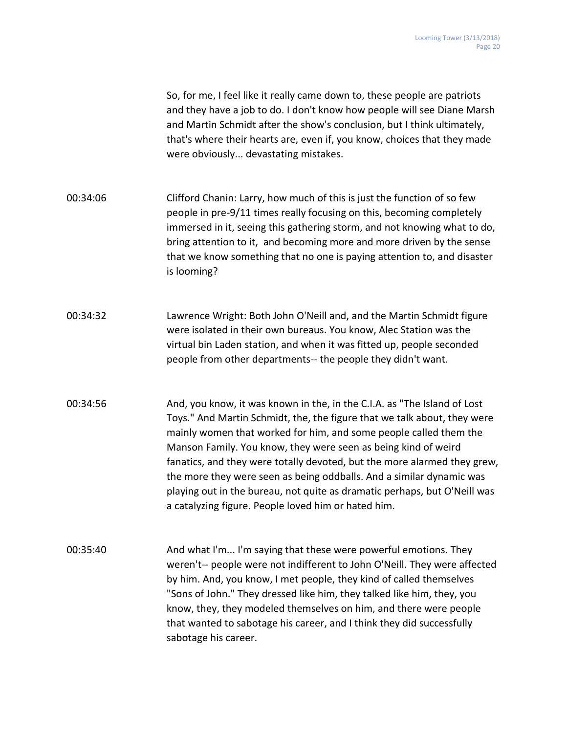So, for me, I feel like it really came down to, these people are patriots and they have a job to do. I don't know how people will see Diane Marsh and Martin Schmidt after the show's conclusion, but I think ultimately, that's where their hearts are, even if, you know, choices that they made were obviously... devastating mistakes.

00:34:06 Clifford Chanin: Larry, how much of this is just the function of so few people in pre-9/11 times really focusing on this, becoming completely immersed in it, seeing this gathering storm, and not knowing what to do, bring attention to it, and becoming more and more driven by the sense that we know something that no one is paying attention to, and disaster is looming?

00:34:32 Lawrence Wright: Both John O'Neill and, and the Martin Schmidt figure were isolated in their own bureaus. You know, Alec Station was the virtual bin Laden station, and when it was fitted up, people seconded people from other departments-- the people they didn't want.

00:34:56 And, you know, it was known in the, in the C.I.A. as "The Island of Lost Toys." And Martin Schmidt, the, the figure that we talk about, they were mainly women that worked for him, and some people called them the Manson Family. You know, they were seen as being kind of weird fanatics, and they were totally devoted, but the more alarmed they grew, the more they were seen as being oddballs. And a similar dynamic was playing out in the bureau, not quite as dramatic perhaps, but O'Neill was a catalyzing figure. People loved him or hated him.

00:35:40 And what I'm... I'm saying that these were powerful emotions. They weren't-- people were not indifferent to John O'Neill. They were affected by him. And, you know, I met people, they kind of called themselves "Sons of John." They dressed like him, they talked like him, they, you know, they, they modeled themselves on him, and there were people that wanted to sabotage his career, and I think they did successfully sabotage his career.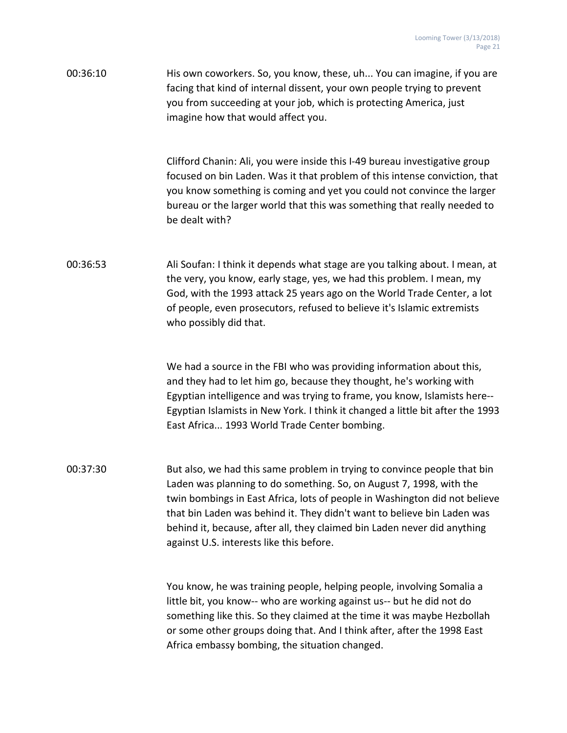00:36:10 His own coworkers. So, you know, these, uh... You can imagine, if you are facing that kind of internal dissent, your own people trying to prevent you from succeeding at your job, which is protecting America, just imagine how that would affect you.

> Clifford Chanin: Ali, you were inside this I-49 bureau investigative group focused on bin Laden. Was it that problem of this intense conviction, that you know something is coming and yet you could not convince the larger bureau or the larger world that this was something that really needed to be dealt with?

00:36:53 Ali Soufan: I think it depends what stage are you talking about. I mean, at the very, you know, early stage, yes, we had this problem. I mean, my God, with the 1993 attack 25 years ago on the World Trade Center, a lot of people, even prosecutors, refused to believe it's Islamic extremists who possibly did that.

> We had a source in the FBI who was providing information about this, and they had to let him go, because they thought, he's working with Egyptian intelligence and was trying to frame, you know, Islamists here-- Egyptian Islamists in New York. I think it changed a little bit after the 1993 East Africa... 1993 World Trade Center bombing.

00:37:30 But also, we had this same problem in trying to convince people that bin Laden was planning to do something. So, on August 7, 1998, with the twin bombings in East Africa, lots of people in Washington did not believe that bin Laden was behind it. They didn't want to believe bin Laden was behind it, because, after all, they claimed bin Laden never did anything against U.S. interests like this before.

> You know, he was training people, helping people, involving Somalia a little bit, you know-- who are working against us-- but he did not do something like this. So they claimed at the time it was maybe Hezbollah or some other groups doing that. And I think after, after the 1998 East Africa embassy bombing, the situation changed.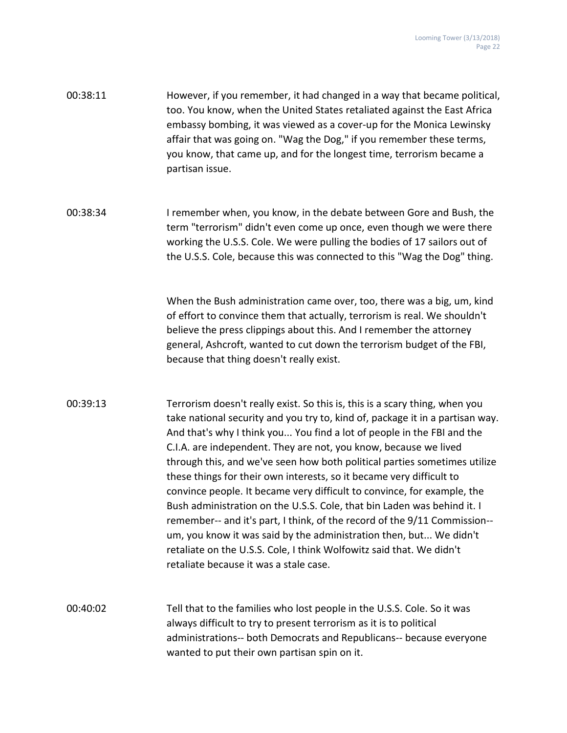| 00:38:11 | However, if you remember, it had changed in a way that became political, |
|----------|--------------------------------------------------------------------------|
|          | too. You know, when the United States retaliated against the East Africa |
|          | embassy bombing, it was viewed as a cover-up for the Monica Lewinsky     |
|          | affair that was going on. "Wag the Dog," if you remember these terms,    |
|          | you know, that came up, and for the longest time, terrorism became a     |
|          | partisan issue.                                                          |

00:38:34 I remember when, you know, in the debate between Gore and Bush, the term "terrorism" didn't even come up once, even though we were there working the U.S.S. Cole. We were pulling the bodies of 17 sailors out of the U.S.S. Cole, because this was connected to this "Wag the Dog" thing.

> When the Bush administration came over, too, there was a big, um, kind of effort to convince them that actually, terrorism is real. We shouldn't believe the press clippings about this. And I remember the attorney general, Ashcroft, wanted to cut down the terrorism budget of the FBI, because that thing doesn't really exist.

- 00:39:13 Terrorism doesn't really exist. So this is, this is a scary thing, when you take national security and you try to, kind of, package it in a partisan way. And that's why I think you... You find a lot of people in the FBI and the C.I.A. are independent. They are not, you know, because we lived through this, and we've seen how both political parties sometimes utilize these things for their own interests, so it became very difficult to convince people. It became very difficult to convince, for example, the Bush administration on the U.S.S. Cole, that bin Laden was behind it. I remember-- and it's part, I think, of the record of the 9/11 Commission- um, you know it was said by the administration then, but... We didn't retaliate on the U.S.S. Cole, I think Wolfowitz said that. We didn't retaliate because it was a stale case.
- 00:40:02 Tell that to the families who lost people in the U.S.S. Cole. So it was always difficult to try to present terrorism as it is to political administrations-- both Democrats and Republicans-- because everyone wanted to put their own partisan spin on it.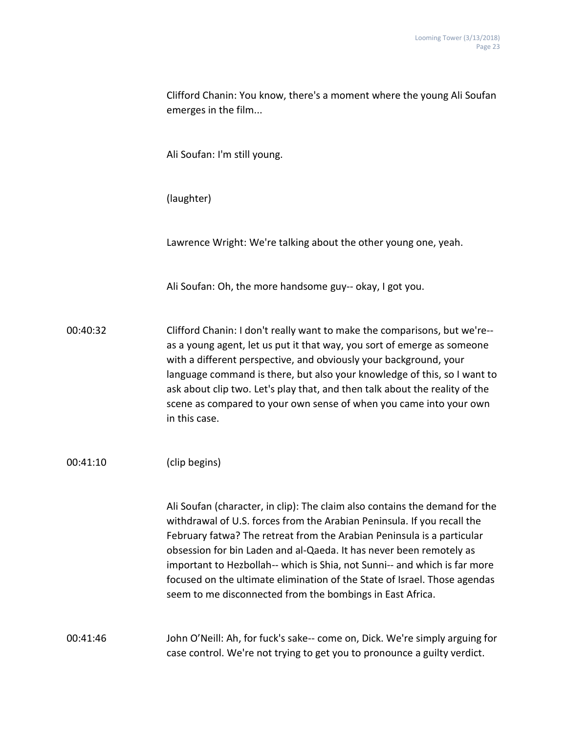|          | Clifford Chanin: You know, there's a moment where the young Ali Soufan<br>emerges in the film                                                                                                                                                                                                                                                                                                                                                                                                                                  |
|----------|--------------------------------------------------------------------------------------------------------------------------------------------------------------------------------------------------------------------------------------------------------------------------------------------------------------------------------------------------------------------------------------------------------------------------------------------------------------------------------------------------------------------------------|
|          | Ali Soufan: I'm still young.                                                                                                                                                                                                                                                                                                                                                                                                                                                                                                   |
|          | (laughter)                                                                                                                                                                                                                                                                                                                                                                                                                                                                                                                     |
|          | Lawrence Wright: We're talking about the other young one, yeah.                                                                                                                                                                                                                                                                                                                                                                                                                                                                |
|          | Ali Soufan: Oh, the more handsome guy-- okay, I got you.                                                                                                                                                                                                                                                                                                                                                                                                                                                                       |
| 00:40:32 | Clifford Chanin: I don't really want to make the comparisons, but we're--<br>as a young agent, let us put it that way, you sort of emerge as someone<br>with a different perspective, and obviously your background, your<br>language command is there, but also your knowledge of this, so I want to<br>ask about clip two. Let's play that, and then talk about the reality of the<br>scene as compared to your own sense of when you came into your own<br>in this case.                                                    |
| 00:41:10 | (clip begins)                                                                                                                                                                                                                                                                                                                                                                                                                                                                                                                  |
|          | Ali Soufan (character, in clip): The claim also contains the demand for the<br>withdrawal of U.S. forces from the Arabian Peninsula. If you recall the<br>February fatwa? The retreat from the Arabian Peninsula is a particular<br>obsession for bin Laden and al-Qaeda. It has never been remotely as<br>important to Hezbollah-- which is Shia, not Sunni-- and which is far more<br>focused on the ultimate elimination of the State of Israel. Those agendas<br>seem to me disconnected from the bombings in East Africa. |
| 00:41:46 | John O'Neill: Ah, for fuck's sake-- come on, Dick. We're simply arguing for<br>case control. We're not trying to get you to pronounce a guilty verdict.                                                                                                                                                                                                                                                                                                                                                                        |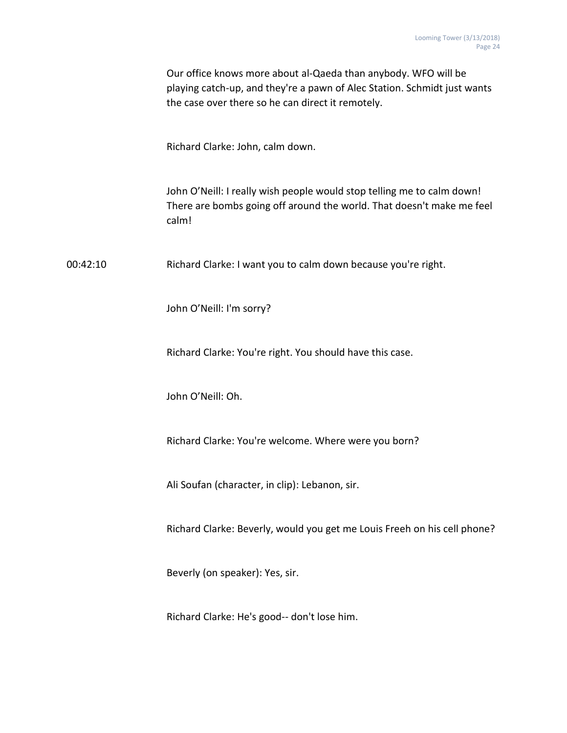|          | Our office knows more about al-Qaeda than anybody. WFO will be<br>playing catch-up, and they're a pawn of Alec Station. Schmidt just wants<br>the case over there so he can direct it remotely. |
|----------|-------------------------------------------------------------------------------------------------------------------------------------------------------------------------------------------------|
|          | Richard Clarke: John, calm down.                                                                                                                                                                |
|          | John O'Neill: I really wish people would stop telling me to calm down!<br>There are bombs going off around the world. That doesn't make me feel<br>calm!                                        |
| 00:42:10 | Richard Clarke: I want you to calm down because you're right.                                                                                                                                   |
|          | John O'Neill: I'm sorry?                                                                                                                                                                        |
|          | Richard Clarke: You're right. You should have this case.                                                                                                                                        |
|          | John O'Neill: Oh.                                                                                                                                                                               |
|          | Richard Clarke: You're welcome. Where were you born?                                                                                                                                            |
|          | Ali Soufan (character, in clip): Lebanon, sir.                                                                                                                                                  |
|          | Richard Clarke: Beverly, would you get me Louis Freeh on his cell phone?                                                                                                                        |
|          | Beverly (on speaker): Yes, sir.                                                                                                                                                                 |
|          | Richard Clarke: He's good-- don't lose him.                                                                                                                                                     |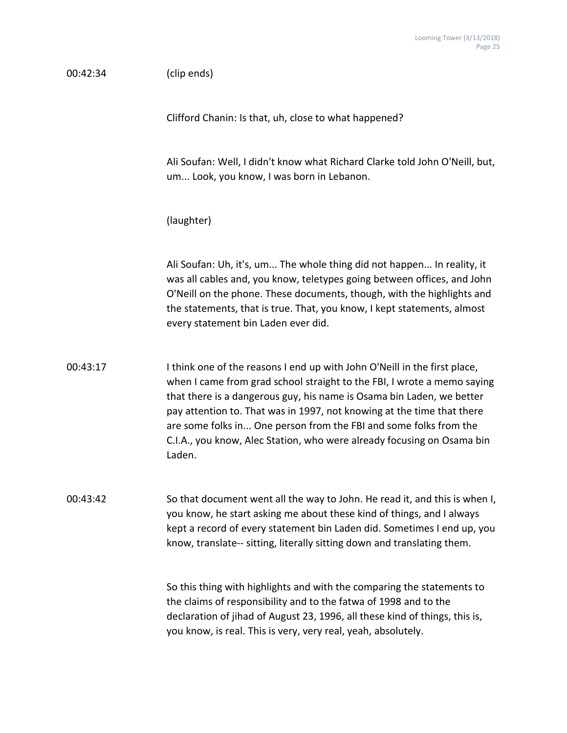| 00:42:34 | (clip ends)                                                                                                                                                                                                                                                                                                                                                                                                                                                      |
|----------|------------------------------------------------------------------------------------------------------------------------------------------------------------------------------------------------------------------------------------------------------------------------------------------------------------------------------------------------------------------------------------------------------------------------------------------------------------------|
|          | Clifford Chanin: Is that, uh, close to what happened?                                                                                                                                                                                                                                                                                                                                                                                                            |
|          | Ali Soufan: Well, I didn't know what Richard Clarke told John O'Neill, but,<br>um Look, you know, I was born in Lebanon.                                                                                                                                                                                                                                                                                                                                         |
|          | (laughter)                                                                                                                                                                                                                                                                                                                                                                                                                                                       |
|          | Ali Soufan: Uh, it's, um The whole thing did not happen In reality, it<br>was all cables and, you know, teletypes going between offices, and John<br>O'Neill on the phone. These documents, though, with the highlights and<br>the statements, that is true. That, you know, I kept statements, almost<br>every statement bin Laden ever did.                                                                                                                    |
| 00:43:17 | I think one of the reasons I end up with John O'Neill in the first place,<br>when I came from grad school straight to the FBI, I wrote a memo saying<br>that there is a dangerous guy, his name is Osama bin Laden, we better<br>pay attention to. That was in 1997, not knowing at the time that there<br>are some folks in One person from the FBI and some folks from the<br>C.I.A., you know, Alec Station, who were already focusing on Osama bin<br>Laden. |
| 00:43:42 | So that document went all the way to John. He read it, and this is when I,<br>you know, he start asking me about these kind of things, and I always<br>kept a record of every statement bin Laden did. Sometimes I end up, you<br>know, translate-- sitting, literally sitting down and translating them.                                                                                                                                                        |
|          | So this thing with highlights and with the comparing the statements to<br>the claims of responsibility and to the fatwa of 1998 and to the<br>declaration of jihad of August 23, 1996, all these kind of things, this is,<br>you know, is real. This is very, very real, yeah, absolutely.                                                                                                                                                                       |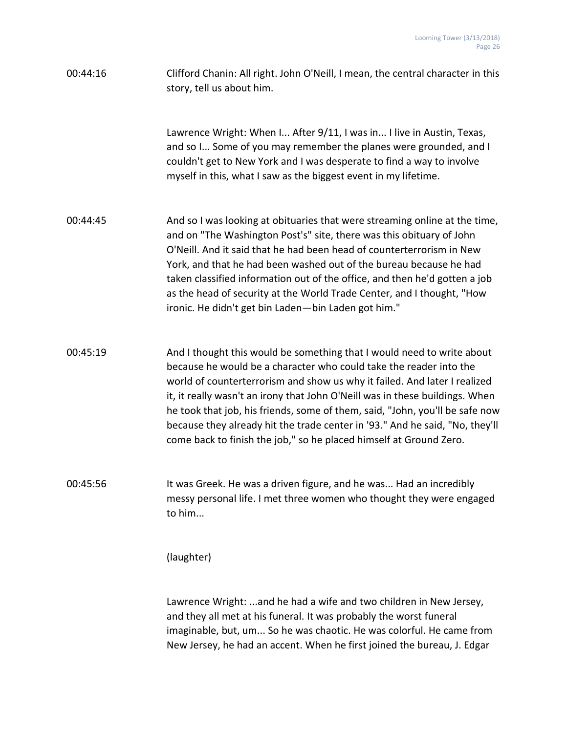| 00:44:16 | Clifford Chanin: All right. John O'Neill, I mean, the central character in this |
|----------|---------------------------------------------------------------------------------|
|          | story, tell us about him.                                                       |

Lawrence Wright: When I... After 9/11, I was in... I live in Austin, Texas, and so I... Some of you may remember the planes were grounded, and I couldn't get to New York and I was desperate to find a way to involve myself in this, what I saw as the biggest event in my lifetime.

- 00:44:45 And so I was looking at obituaries that were streaming online at the time, and on "The Washington Post's" site, there was this obituary of John O'Neill. And it said that he had been head of counterterrorism in New York, and that he had been washed out of the bureau because he had taken classified information out of the office, and then he'd gotten a job as the head of security at the World Trade Center, and I thought, "How ironic. He didn't get bin Laden—bin Laden got him."
- 00:45:19 And I thought this would be something that I would need to write about because he would be a character who could take the reader into the world of counterterrorism and show us why it failed. And later I realized it, it really wasn't an irony that John O'Neill was in these buildings. When he took that job, his friends, some of them, said, "John, you'll be safe now because they already hit the trade center in '93." And he said, "No, they'll come back to finish the job," so he placed himself at Ground Zero.
- 00:45:56 It was Greek. He was a driven figure, and he was... Had an incredibly messy personal life. I met three women who thought they were engaged to him...

(laughter)

Lawrence Wright: ...and he had a wife and two children in New Jersey, and they all met at his funeral. It was probably the worst funeral imaginable, but, um... So he was chaotic. He was colorful. He came from New Jersey, he had an accent. When he first joined the bureau, J. Edgar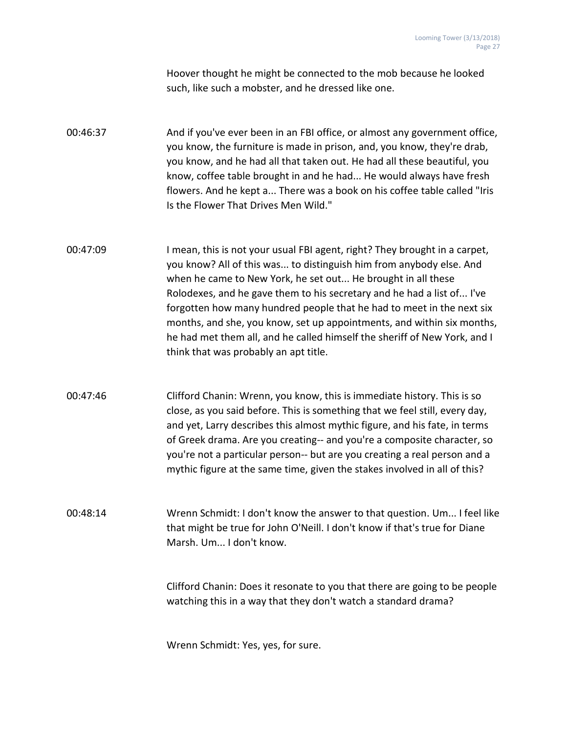Hoover thought he might be connected to the mob because he looked such, like such a mobster, and he dressed like one.

00:46:37 And if you've ever been in an FBI office, or almost any government office, you know, the furniture is made in prison, and, you know, they're drab, you know, and he had all that taken out. He had all these beautiful, you know, coffee table brought in and he had... He would always have fresh flowers. And he kept a... There was a book on his coffee table called "Iris Is the Flower That Drives Men Wild."

- 00:47:09 I mean, this is not your usual FBI agent, right? They brought in a carpet, you know? All of this was... to distinguish him from anybody else. And when he came to New York, he set out... He brought in all these Rolodexes, and he gave them to his secretary and he had a list of... I've forgotten how many hundred people that he had to meet in the next six months, and she, you know, set up appointments, and within six months, he had met them all, and he called himself the sheriff of New York, and I think that was probably an apt title.
- 00:47:46 Clifford Chanin: Wrenn, you know, this is immediate history. This is so close, as you said before. This is something that we feel still, every day, and yet, Larry describes this almost mythic figure, and his fate, in terms of Greek drama. Are you creating-- and you're a composite character, so you're not a particular person-- but are you creating a real person and a mythic figure at the same time, given the stakes involved in all of this?

00:48:14 Wrenn Schmidt: I don't know the answer to that question. Um... I feel like that might be true for John O'Neill. I don't know if that's true for Diane Marsh. Um... I don't know.

> Clifford Chanin: Does it resonate to you that there are going to be people watching this in a way that they don't watch a standard drama?

Wrenn Schmidt: Yes, yes, for sure.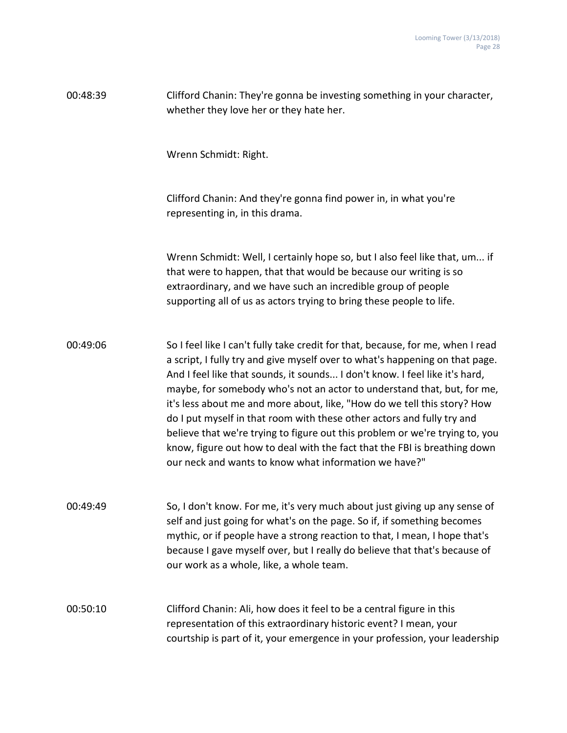| 00:48:39 | Clifford Chanin: They're gonna be investing something in your character,<br>whether they love her or they hate her.                                                                                                                                                                                                                                                                                                                                                                                                                                                                                                                                                                                   |
|----------|-------------------------------------------------------------------------------------------------------------------------------------------------------------------------------------------------------------------------------------------------------------------------------------------------------------------------------------------------------------------------------------------------------------------------------------------------------------------------------------------------------------------------------------------------------------------------------------------------------------------------------------------------------------------------------------------------------|
|          | Wrenn Schmidt: Right.                                                                                                                                                                                                                                                                                                                                                                                                                                                                                                                                                                                                                                                                                 |
|          | Clifford Chanin: And they're gonna find power in, in what you're<br>representing in, in this drama.                                                                                                                                                                                                                                                                                                                                                                                                                                                                                                                                                                                                   |
|          | Wrenn Schmidt: Well, I certainly hope so, but I also feel like that, um if<br>that were to happen, that that would be because our writing is so<br>extraordinary, and we have such an incredible group of people<br>supporting all of us as actors trying to bring these people to life.                                                                                                                                                                                                                                                                                                                                                                                                              |
| 00:49:06 | So I feel like I can't fully take credit for that, because, for me, when I read<br>a script, I fully try and give myself over to what's happening on that page.<br>And I feel like that sounds, it sounds I don't know. I feel like it's hard,<br>maybe, for somebody who's not an actor to understand that, but, for me,<br>it's less about me and more about, like, "How do we tell this story? How<br>do I put myself in that room with these other actors and fully try and<br>believe that we're trying to figure out this problem or we're trying to, you<br>know, figure out how to deal with the fact that the FBI is breathing down<br>our neck and wants to know what information we have?" |
| 00:49:49 | So, I don't know. For me, it's very much about just giving up any sense of<br>self and just going for what's on the page. So if, if something becomes<br>mythic, or if people have a strong reaction to that, I mean, I hope that's<br>because I gave myself over, but I really do believe that that's because of<br>our work as a whole, like, a whole team.                                                                                                                                                                                                                                                                                                                                         |
| 00:50:10 | Clifford Chanin: Ali, how does it feel to be a central figure in this<br>representation of this extraordinary historic event? I mean, your<br>courtship is part of it, your emergence in your profession, your leadership                                                                                                                                                                                                                                                                                                                                                                                                                                                                             |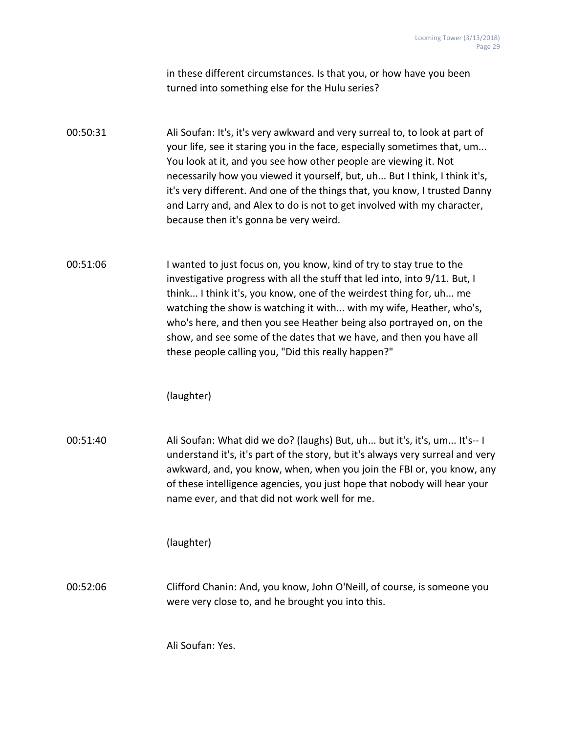in these different circumstances. Is that you, or how have you been turned into something else for the Hulu series?

00:50:31 Ali Soufan: It's, it's very awkward and very surreal to, to look at part of your life, see it staring you in the face, especially sometimes that, um... You look at it, and you see how other people are viewing it. Not necessarily how you viewed it yourself, but, uh... But I think, I think it's, it's very different. And one of the things that, you know, I trusted Danny and Larry and, and Alex to do is not to get involved with my character, because then it's gonna be very weird.

00:51:06 I wanted to just focus on, you know, kind of try to stay true to the investigative progress with all the stuff that led into, into 9/11. But, I think... I think it's, you know, one of the weirdest thing for, uh... me watching the show is watching it with... with my wife, Heather, who's, who's here, and then you see Heather being also portrayed on, on the show, and see some of the dates that we have, and then you have all these people calling you, "Did this really happen?"

(laughter)

00:51:40 Ali Soufan: What did we do? (laughs) But, uh... but it's, it's, um... It's-- I understand it's, it's part of the story, but it's always very surreal and very awkward, and, you know, when, when you join the FBI or, you know, any of these intelligence agencies, you just hope that nobody will hear your name ever, and that did not work well for me.

(laughter)

00:52:06 Clifford Chanin: And, you know, John O'Neill, of course, is someone you were very close to, and he brought you into this.

Ali Soufan: Yes.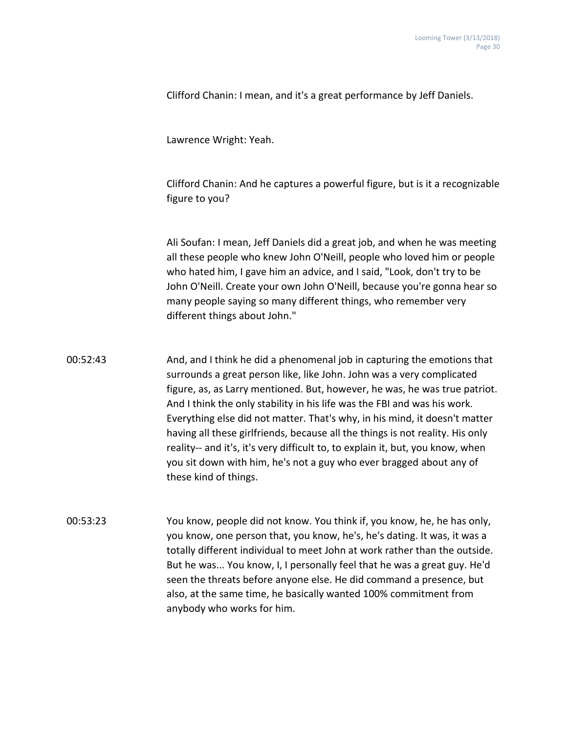Clifford Chanin: I mean, and it's a great performance by Jeff Daniels.

Lawrence Wright: Yeah.

Clifford Chanin: And he captures a powerful figure, but is it a recognizable figure to you?

Ali Soufan: I mean, Jeff Daniels did a great job, and when he was meeting all these people who knew John O'Neill, people who loved him or people who hated him, I gave him an advice, and I said, "Look, don't try to be John O'Neill. Create your own John O'Neill, because you're gonna hear so many people saying so many different things, who remember very different things about John."

00:52:43 And, and I think he did a phenomenal job in capturing the emotions that surrounds a great person like, like John. John was a very complicated figure, as, as Larry mentioned. But, however, he was, he was true patriot. And I think the only stability in his life was the FBI and was his work. Everything else did not matter. That's why, in his mind, it doesn't matter having all these girlfriends, because all the things is not reality. His only reality-- and it's, it's very difficult to, to explain it, but, you know, when you sit down with him, he's not a guy who ever bragged about any of these kind of things.

00:53:23 You know, people did not know. You think if, you know, he, he has only, you know, one person that, you know, he's, he's dating. It was, it was a totally different individual to meet John at work rather than the outside. But he was... You know, I, I personally feel that he was a great guy. He'd seen the threats before anyone else. He did command a presence, but also, at the same time, he basically wanted 100% commitment from anybody who works for him.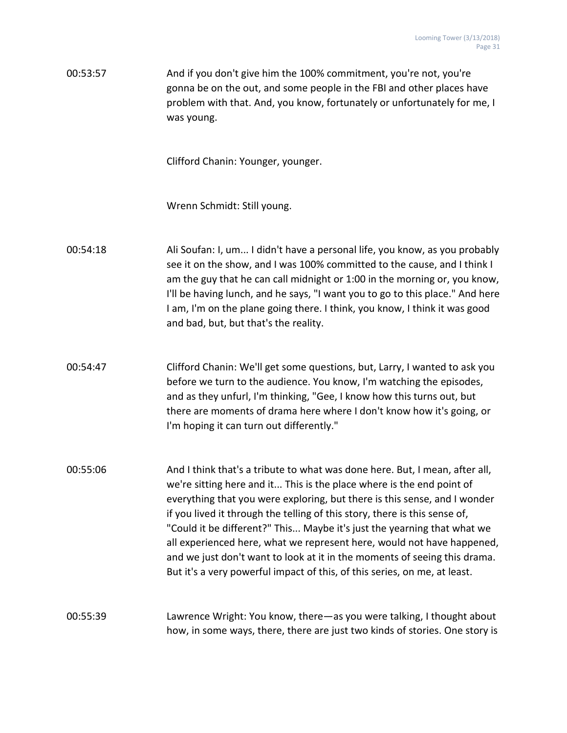00:53:57 And if you don't give him the 100% commitment, you're not, you're gonna be on the out, and some people in the FBI and other places have problem with that. And, you know, fortunately or unfortunately for me, I was young.

Clifford Chanin: Younger, younger.

Wrenn Schmidt: Still young.

- 00:54:18 Ali Soufan: I, um... I didn't have a personal life, you know, as you probably see it on the show, and I was 100% committed to the cause, and I think I am the guy that he can call midnight or 1:00 in the morning or, you know, I'll be having lunch, and he says, "I want you to go to this place." And here I am, I'm on the plane going there. I think, you know, I think it was good and bad, but, but that's the reality.
- 00:54:47 Clifford Chanin: We'll get some questions, but, Larry, I wanted to ask you before we turn to the audience. You know, I'm watching the episodes, and as they unfurl, I'm thinking, "Gee, I know how this turns out, but there are moments of drama here where I don't know how it's going, or I'm hoping it can turn out differently."
- 00:55:06 And I think that's a tribute to what was done here. But, I mean, after all, we're sitting here and it... This is the place where is the end point of everything that you were exploring, but there is this sense, and I wonder if you lived it through the telling of this story, there is this sense of, "Could it be different?" This... Maybe it's just the yearning that what we all experienced here, what we represent here, would not have happened, and we just don't want to look at it in the moments of seeing this drama. But it's a very powerful impact of this, of this series, on me, at least.

### 00:55:39 Lawrence Wright: You know, there—as you were talking, I thought about how, in some ways, there, there are just two kinds of stories. One story is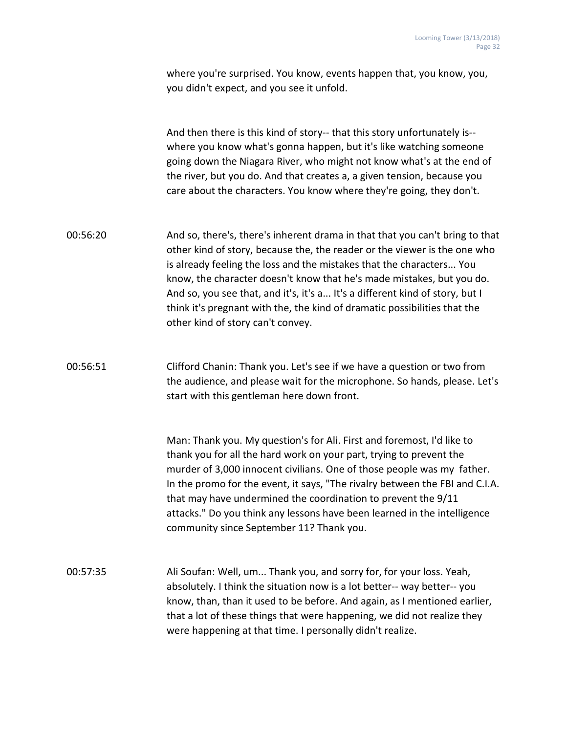where you're surprised. You know, events happen that, you know, you, you didn't expect, and you see it unfold.

And then there is this kind of story-- that this story unfortunately is- where you know what's gonna happen, but it's like watching someone going down the Niagara River, who might not know what's at the end of the river, but you do. And that creates a, a given tension, because you care about the characters. You know where they're going, they don't.

00:56:20 And so, there's, there's inherent drama in that that you can't bring to that other kind of story, because the, the reader or the viewer is the one who is already feeling the loss and the mistakes that the characters... You know, the character doesn't know that he's made mistakes, but you do. And so, you see that, and it's, it's a... It's a different kind of story, but I think it's pregnant with the, the kind of dramatic possibilities that the other kind of story can't convey.

# 00:56:51 Clifford Chanin: Thank you. Let's see if we have a question or two from the audience, and please wait for the microphone. So hands, please. Let's start with this gentleman here down front.

Man: Thank you. My question's for Ali. First and foremost, I'd like to thank you for all the hard work on your part, trying to prevent the murder of 3,000 innocent civilians. One of those people was my father. In the promo for the event, it says, "The rivalry between the FBI and C.I.A. that may have undermined the coordination to prevent the 9/11 attacks." Do you think any lessons have been learned in the intelligence community since September 11? Thank you.

00:57:35 Ali Soufan: Well, um... Thank you, and sorry for, for your loss. Yeah, absolutely. I think the situation now is a lot better-- way better-- you know, than, than it used to be before. And again, as I mentioned earlier, that a lot of these things that were happening, we did not realize they were happening at that time. I personally didn't realize.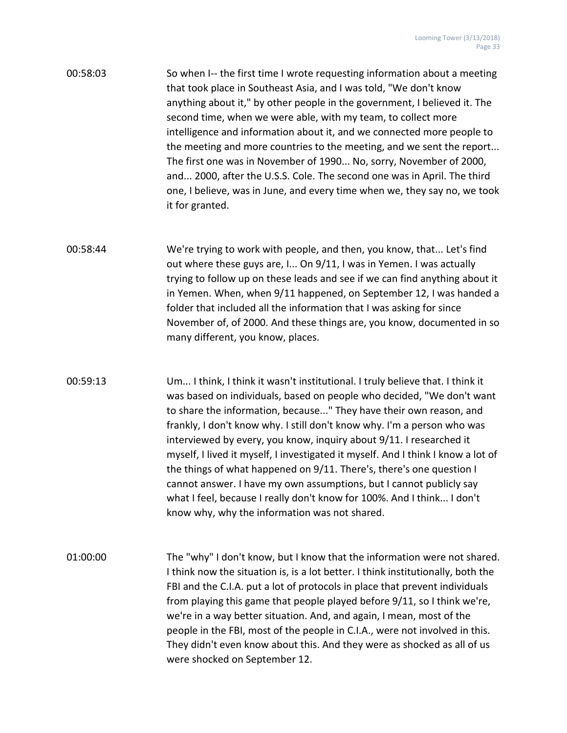| 00:58:03 | So when I-- the first time I wrote requesting information about a meeting |
|----------|---------------------------------------------------------------------------|
|          | that took place in Southeast Asia, and I was told, "We don't know         |
|          | anything about it," by other people in the government, I believed it. The |
|          | second time, when we were able, with my team, to collect more             |
|          | intelligence and information about it, and we connected more people to    |
|          | the meeting and more countries to the meeting, and we sent the report     |
|          | The first one was in November of 1990 No, sorry, November of 2000,        |
|          | and 2000, after the U.S.S. Cole. The second one was in April. The third   |
|          | one, I believe, was in June, and every time when we, they say no, we took |
|          | it for granted.                                                           |

- 00:58:44 We're trying to work with people, and then, you know, that... Let's find out where these guys are, I... On 9/11, I was in Yemen. I was actually trying to follow up on these leads and see if we can find anything about it in Yemen. When, when 9/11 happened, on September 12, I was handed a folder that included all the information that I was asking for since November of, of 2000. And these things are, you know, documented in so many different, you know, places.
- 

00:59:13 Um... I think, I think it wasn't institutional. I truly believe that. I think it was based on individuals, based on people who decided, "We don't want to share the information, because..." They have their own reason, and frankly, I don't know why. I still don't know why. I'm a person who was interviewed by every, you know, inquiry about 9/11. I researched it myself, I lived it myself, I investigated it myself. And I think I know a lot of the things of what happened on 9/11. There's, there's one question I cannot answer. I have my own assumptions, but I cannot publicly say what I feel, because I really don't know for 100%. And I think... I don't know why, why the information was not shared.

01:00:00 The "why" I don't know, but I know that the information were not shared. I think now the situation is, is a lot better. I think institutionally, both the FBI and the C.I.A. put a lot of protocols in place that prevent individuals from playing this game that people played before 9/11, so I think we're, we're in a way better situation. And, and again, I mean, most of the people in the FBI, most of the people in C.I.A., were not involved in this. They didn't even know about this. And they were as shocked as all of us were shocked on September 12.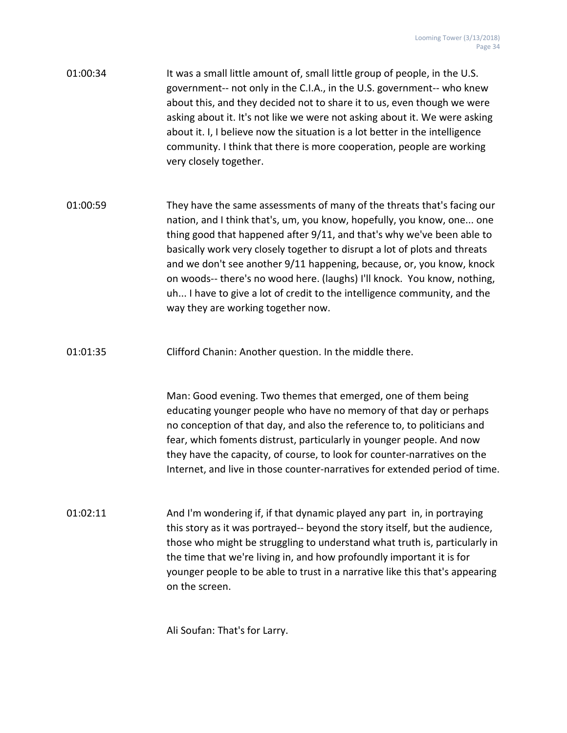- 01:00:34 It was a small little amount of, small little group of people, in the U.S. government-- not only in the C.I.A., in the U.S. government-- who knew about this, and they decided not to share it to us, even though we were asking about it. It's not like we were not asking about it. We were asking about it. I, I believe now the situation is a lot better in the intelligence community. I think that there is more cooperation, people are working very closely together.
- 01:00:59 They have the same assessments of many of the threats that's facing our nation, and I think that's, um, you know, hopefully, you know, one... one thing good that happened after 9/11, and that's why we've been able to basically work very closely together to disrupt a lot of plots and threats and we don't see another 9/11 happening, because, or, you know, knock on woods-- there's no wood here. (laughs) I'll knock. You know, nothing, uh... I have to give a lot of credit to the intelligence community, and the way they are working together now.
- 01:01:35 Clifford Chanin: Another question. In the middle there.

Man: Good evening. Two themes that emerged, one of them being educating younger people who have no memory of that day or perhaps no conception of that day, and also the reference to, to politicians and fear, which foments distrust, particularly in younger people. And now they have the capacity, of course, to look for counter-narratives on the Internet, and live in those counter-narratives for extended period of time.

01:02:11 And I'm wondering if, if that dynamic played any part in, in portraying this story as it was portrayed-- beyond the story itself, but the audience, those who might be struggling to understand what truth is, particularly in the time that we're living in, and how profoundly important it is for younger people to be able to trust in a narrative like this that's appearing on the screen.

Ali Soufan: That's for Larry.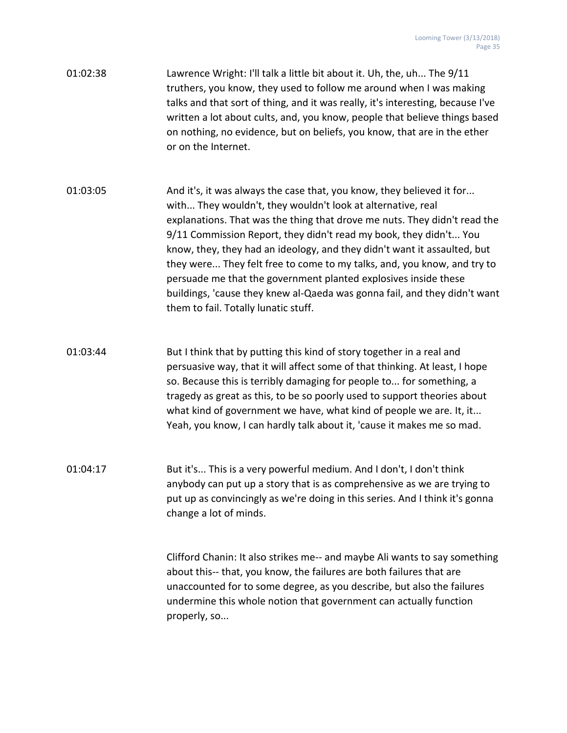- 01:02:38 Lawrence Wright: I'll talk a little bit about it. Uh, the, uh... The 9/11 truthers, you know, they used to follow me around when I was making talks and that sort of thing, and it was really, it's interesting, because I've written a lot about cults, and, you know, people that believe things based on nothing, no evidence, but on beliefs, you know, that are in the ether or on the Internet.
- 01:03:05 And it's, it was always the case that, you know, they believed it for... with... They wouldn't, they wouldn't look at alternative, real explanations. That was the thing that drove me nuts. They didn't read the 9/11 Commission Report, they didn't read my book, they didn't... You know, they, they had an ideology, and they didn't want it assaulted, but they were... They felt free to come to my talks, and, you know, and try to persuade me that the government planted explosives inside these buildings, 'cause they knew al-Qaeda was gonna fail, and they didn't want them to fail. Totally lunatic stuff.
- 01:03:44 But I think that by putting this kind of story together in a real and persuasive way, that it will affect some of that thinking. At least, I hope so. Because this is terribly damaging for people to... for something, a tragedy as great as this, to be so poorly used to support theories about what kind of government we have, what kind of people we are. It, it... Yeah, you know, I can hardly talk about it, 'cause it makes me so mad.
- 01:04:17 But it's... This is a very powerful medium. And I don't, I don't think anybody can put up a story that is as comprehensive as we are trying to put up as convincingly as we're doing in this series. And I think it's gonna change a lot of minds.

Clifford Chanin: It also strikes me-- and maybe Ali wants to say something about this-- that, you know, the failures are both failures that are unaccounted for to some degree, as you describe, but also the failures undermine this whole notion that government can actually function properly, so...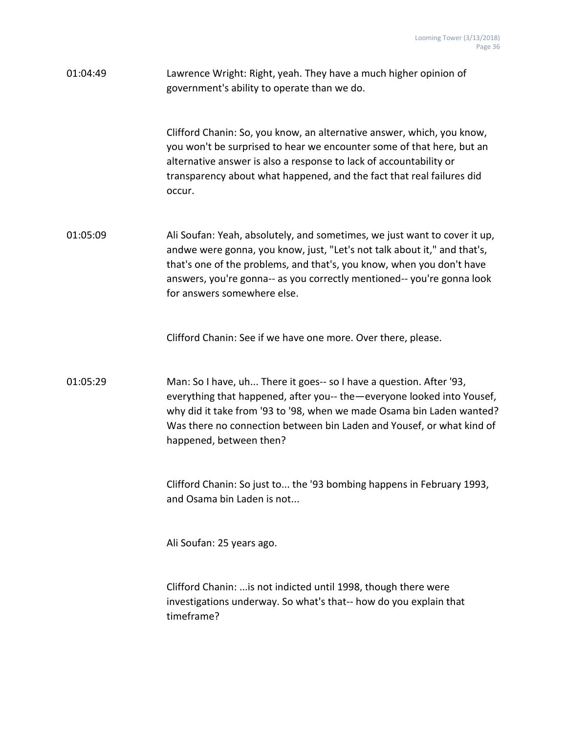| 01:04:49 | Lawrence Wright: Right, yeah. They have a much higher opinion of<br>government's ability to operate than we do.                                                                                                                                                                                                                         |
|----------|-----------------------------------------------------------------------------------------------------------------------------------------------------------------------------------------------------------------------------------------------------------------------------------------------------------------------------------------|
|          | Clifford Chanin: So, you know, an alternative answer, which, you know,<br>you won't be surprised to hear we encounter some of that here, but an<br>alternative answer is also a response to lack of accountability or<br>transparency about what happened, and the fact that real failures did<br>occur.                                |
| 01:05:09 | Ali Soufan: Yeah, absolutely, and sometimes, we just want to cover it up,<br>andwe were gonna, you know, just, "Let's not talk about it," and that's,<br>that's one of the problems, and that's, you know, when you don't have<br>answers, you're gonna-- as you correctly mentioned-- you're gonna look<br>for answers somewhere else. |
|          | Clifford Chanin: See if we have one more. Over there, please.                                                                                                                                                                                                                                                                           |
| 01:05:29 | Man: So I have, uh There it goes-- so I have a question. After '93,<br>everything that happened, after you-- the - everyone looked into Yousef,<br>why did it take from '93 to '98, when we made Osama bin Laden wanted?<br>Was there no connection between bin Laden and Yousef, or what kind of<br>happened, between then?            |
|          | Clifford Chanin: So just to the '93 bombing happens in February 1993,<br>and Osama bin Laden is not                                                                                                                                                                                                                                     |
|          | Ali Soufan: 25 years ago.                                                                                                                                                                                                                                                                                                               |
|          | Clifford Chanin:  is not indicted until 1998, though there were<br>investigations underway. So what's that-- how do you explain that<br>timeframe?                                                                                                                                                                                      |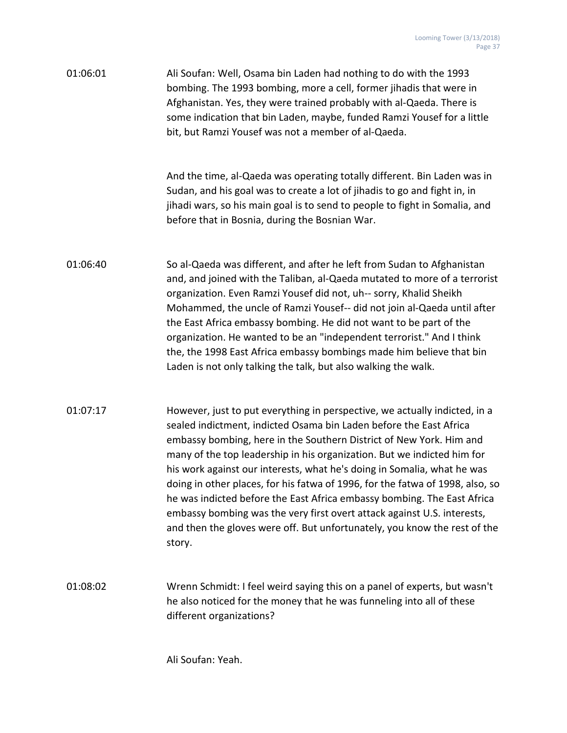| 01:06:01 | Ali Soufan: Well, Osama bin Laden had nothing to do with the 1993       |
|----------|-------------------------------------------------------------------------|
|          | bombing. The 1993 bombing, more a cell, former jihadis that were in     |
|          | Afghanistan. Yes, they were trained probably with al-Qaeda. There is    |
|          | some indication that bin Laden, maybe, funded Ramzi Yousef for a little |
|          | bit, but Ramzi Yousef was not a member of al-Qaeda.                     |

And the time, al-Qaeda was operating totally different. Bin Laden was in Sudan, and his goal was to create a lot of jihadis to go and fight in, in jihadi wars, so his main goal is to send to people to fight in Somalia, and before that in Bosnia, during the Bosnian War.

- 01:06:40 So al-Qaeda was different, and after he left from Sudan to Afghanistan and, and joined with the Taliban, al-Qaeda mutated to more of a terrorist organization. Even Ramzi Yousef did not, uh-- sorry, Khalid Sheikh Mohammed, the uncle of Ramzi Yousef-- did not join al-Qaeda until after the East Africa embassy bombing. He did not want to be part of the organization. He wanted to be an "independent terrorist." And I think the, the 1998 East Africa embassy bombings made him believe that bin Laden is not only talking the talk, but also walking the walk.
- 01:07:17 However, just to put everything in perspective, we actually indicted, in a sealed indictment, indicted Osama bin Laden before the East Africa embassy bombing, here in the Southern District of New York. Him and many of the top leadership in his organization. But we indicted him for his work against our interests, what he's doing in Somalia, what he was doing in other places, for his fatwa of 1996, for the fatwa of 1998, also, so he was indicted before the East Africa embassy bombing. The East Africa embassy bombing was the very first overt attack against U.S. interests, and then the gloves were off. But unfortunately, you know the rest of the story.
- 01:08:02 Wrenn Schmidt: I feel weird saying this on a panel of experts, but wasn't he also noticed for the money that he was funneling into all of these different organizations?

Ali Soufan: Yeah.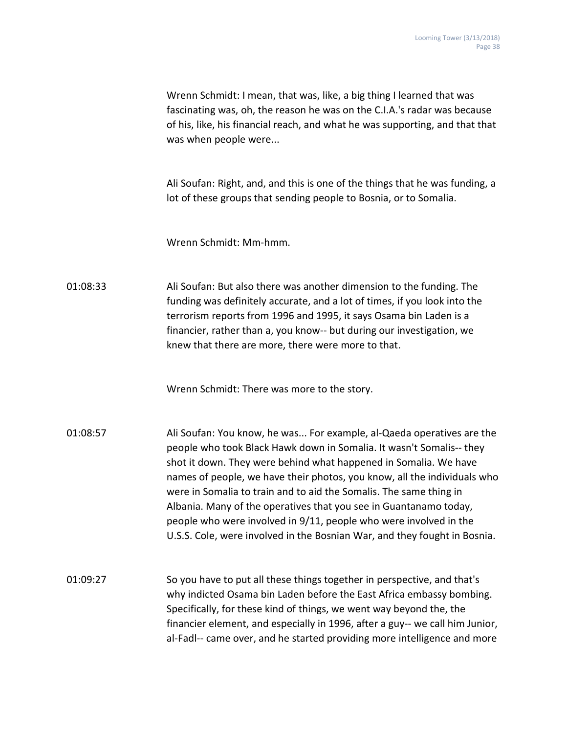|          | Wrenn Schmidt: I mean, that was, like, a big thing I learned that was<br>fascinating was, oh, the reason he was on the C.I.A.'s radar was because<br>of his, like, his financial reach, and what he was supporting, and that that<br>was when people were                                                                                                                                                                                                                                                                                                                                  |
|----------|--------------------------------------------------------------------------------------------------------------------------------------------------------------------------------------------------------------------------------------------------------------------------------------------------------------------------------------------------------------------------------------------------------------------------------------------------------------------------------------------------------------------------------------------------------------------------------------------|
|          | Ali Soufan: Right, and, and this is one of the things that he was funding, a<br>lot of these groups that sending people to Bosnia, or to Somalia.                                                                                                                                                                                                                                                                                                                                                                                                                                          |
|          | Wrenn Schmidt: Mm-hmm.                                                                                                                                                                                                                                                                                                                                                                                                                                                                                                                                                                     |
| 01:08:33 | Ali Soufan: But also there was another dimension to the funding. The<br>funding was definitely accurate, and a lot of times, if you look into the<br>terrorism reports from 1996 and 1995, it says Osama bin Laden is a<br>financier, rather than a, you know-- but during our investigation, we<br>knew that there are more, there were more to that.                                                                                                                                                                                                                                     |
|          | Wrenn Schmidt: There was more to the story.                                                                                                                                                                                                                                                                                                                                                                                                                                                                                                                                                |
| 01:08:57 | Ali Soufan: You know, he was For example, al-Qaeda operatives are the<br>people who took Black Hawk down in Somalia. It wasn't Somalis-- they<br>shot it down. They were behind what happened in Somalia. We have<br>names of people, we have their photos, you know, all the individuals who<br>were in Somalia to train and to aid the Somalis. The same thing in<br>Albania. Many of the operatives that you see in Guantanamo today,<br>people who were involved in 9/11, people who were involved in the<br>U.S.S. Cole, were involved in the Bosnian War, and they fought in Bosnia. |
| 01:09:27 | So you have to put all these things together in perspective, and that's<br>why indicted Osama bin Laden before the East Africa embassy bombing.<br>Specifically, for these kind of things, we went way beyond the, the<br>financier element, and especially in 1996, after a guy-- we call him Junior,<br>al-Fadl-- came over, and he started providing more intelligence and more                                                                                                                                                                                                         |